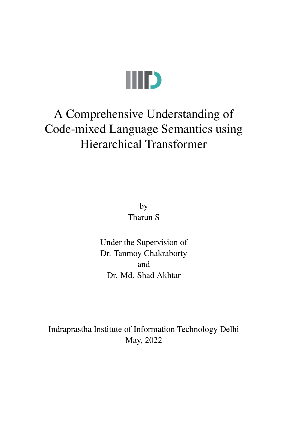

# A Comprehensive Understanding of Code-mixed Language Semantics using Hierarchical Transformer

by Tharun S

Under the Supervision of Dr. Tanmoy Chakraborty and Dr. Md. Shad Akhtar

Indraprastha Institute of Information Technology Delhi May, 2022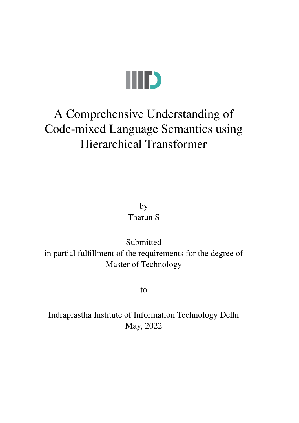

# A Comprehensive Understanding of Code-mixed Language Semantics using Hierarchical Transformer

by Tharun S

Submitted in partial fulfillment of the requirements for the degree of Master of Technology

to

Indraprastha Institute of Information Technology Delhi May, 2022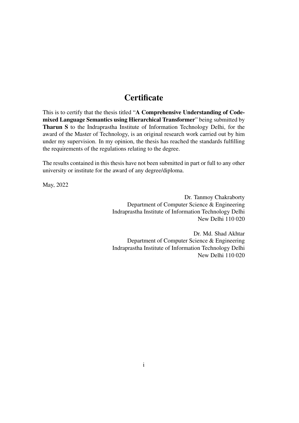## **Certificate**

This is to certify that the thesis titled "A Comprehensive Understanding of Codemixed Language Semantics using Hierarchical Transformer" being submitted by Tharun S to the Indraprastha Institute of Information Technology Delhi, for the award of the Master of Technology, is an original research work carried out by him under my supervision. In my opinion, the thesis has reached the standards fulfilling the requirements of the regulations relating to the degree.

The results contained in this thesis have not been submitted in part or full to any other university or institute for the award of any degree/diploma.

May, 2022

Dr. Tanmoy Chakraborty Department of Computer Science & Engineering Indraprastha Institute of Information Technology Delhi New Delhi 110 020

Dr. Md. Shad Akhtar Department of Computer Science & Engineering Indraprastha Institute of Information Technology Delhi New Delhi 110 020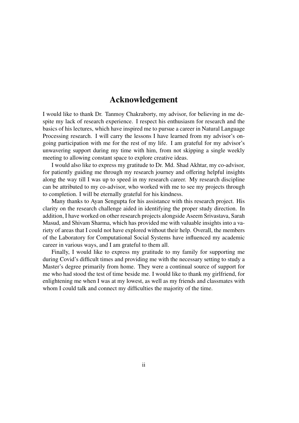## Acknowledgement

I would like to thank Dr. Tanmoy Chakraborty, my advisor, for believing in me despite my lack of research experience. I respect his enthusiasm for research and the basics of his lectures, which have inspired me to pursue a career in Natural Language Processing research. I will carry the lessons I have learned from my advisor's ongoing participation with me for the rest of my life. I am grateful for my advisor's unwavering support during my time with him, from not skipping a single weekly meeting to allowing constant space to explore creative ideas.

I would also like to express my gratitude to Dr. Md. Shad Akhtar, my co-advisor, for patiently guiding me through my research journey and offering helpful insights along the way till I was up to speed in my research career. My research discipline can be attributed to my co-advisor, who worked with me to see my projects through to completion. I will be eternally grateful for his kindness.

Many thanks to Ayan Sengupta for his assistance with this research project. His clarity on the research challenge aided in identifying the proper study direction. In addition, I have worked on other research projects alongside Aseem Srivastava, Sarah Masud, and Shivam Sharma, which has provided me with valuable insights into a variety of areas that I could not have explored without their help. Overall, the members of the Laboratory for Computational Social Systems have influenced my academic career in various ways, and I am grateful to them all.

Finally, I would like to express my gratitude to my family for supporting me during Covid's difficult times and providing me with the necessary setting to study a Master's degree primarily from home. They were a continual source of support for me who had stood the test of time beside me. I would like to thank my girlfriend, for enlightening me when I was at my lowest, as well as my friends and classmates with whom I could talk and connect my difficulties the majority of the time.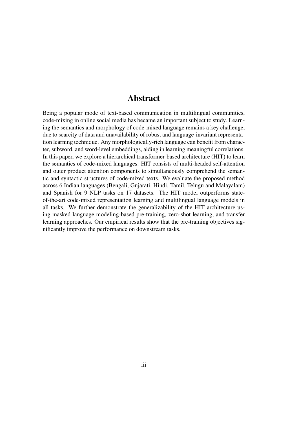## Abstract

Being a popular mode of text-based communication in multilingual communities, code-mixing in online social media has became an important subject to study. Learning the semantics and morphology of code-mixed language remains a key challenge, due to scarcity of data and unavailability of robust and language-invariant representation learning technique. Any morphologically-rich language can benefit from character, subword, and word-level embeddings, aiding in learning meaningful correlations. In this paper, we explore a hierarchical transformer-based architecture (HIT) to learn the semantics of code-mixed languages. HIT consists of multi-headed self-attention and outer product attention components to simultaneously comprehend the semantic and syntactic structures of code-mixed texts. We evaluate the proposed method across 6 Indian languages (Bengali, Gujarati, Hindi, Tamil, Telugu and Malayalam) and Spanish for 9 NLP tasks on 17 datasets. The HIT model outperforms stateof-the-art code-mixed representation learning and multilingual language models in all tasks. We further demonstrate the generalizability of the HIT architecture using masked language modeling-based pre-training, zero-shot learning, and transfer learning approaches. Our empirical results show that the pre-training objectives significantly improve the performance on downstream tasks.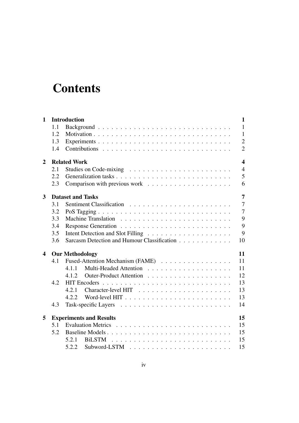# **Contents**

| $\mathbf{1}$            |     | <b>Introduction</b>                                                       | $\mathbf{1}$               |
|-------------------------|-----|---------------------------------------------------------------------------|----------------------------|
|                         | 1.1 |                                                                           | $\mathbf{1}$               |
|                         | 1.2 |                                                                           | $\mathbf{1}$               |
|                         | 1.3 |                                                                           | $\mathfrak{2}$             |
|                         | 1.4 |                                                                           | $\overline{2}$             |
| 2                       |     | <b>Related Work</b>                                                       | $\boldsymbol{\mathcal{L}}$ |
|                         | 2.1 | Studies on Code-mixing $\ldots \ldots \ldots \ldots \ldots \ldots \ldots$ | $\overline{4}$             |
|                         | 2.2 |                                                                           | 5                          |
|                         | 2.3 |                                                                           | 6                          |
| 3                       |     | <b>Dataset and Tasks</b>                                                  | $\overline{7}$             |
|                         | 3.1 |                                                                           | $\overline{7}$             |
|                         | 3.2 |                                                                           | $\overline{7}$             |
|                         | 3.3 |                                                                           | 9                          |
|                         | 3.4 |                                                                           | 9                          |
|                         | 3.5 |                                                                           | 9                          |
|                         | 3.6 | Sarcasm Detection and Humour Classification                               | 10                         |
| $\overline{\mathbf{4}}$ |     | <b>Our Methodology</b>                                                    | 11                         |
|                         | 4.1 | Fused-Attention Mechanism (FAME)                                          | 11                         |
|                         |     | 4.1.1                                                                     | 11                         |
|                         |     | 4.1.2                                                                     | 12                         |
|                         | 4.2 |                                                                           | 13                         |
|                         |     | 4.2.1                                                                     | 13                         |
|                         |     | 4.2.2                                                                     | 13                         |
|                         | 4.3 |                                                                           | 14                         |
| 5                       |     | <b>Experiments and Results</b>                                            | 15                         |
|                         | 5.1 |                                                                           | 15                         |
|                         | 5.2 | Baseline Models                                                           | 15                         |
|                         |     | 5.2.1                                                                     | 15                         |
|                         |     | 5.2.2                                                                     | 15                         |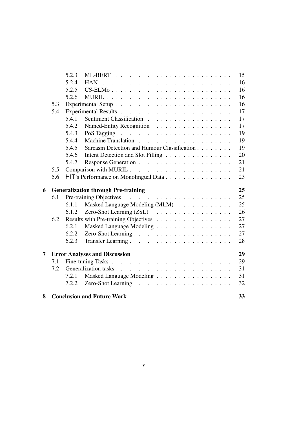|   |     | 5.2.3 |                                             | 15 |
|---|-----|-------|---------------------------------------------|----|
|   |     | 5.2.4 |                                             | 16 |
|   |     | 5.2.5 | $CS$ -ELMo                                  | 16 |
|   |     | 5.2.6 |                                             | 16 |
|   | 5.3 |       |                                             | 16 |
|   | 5.4 |       |                                             | 17 |
|   |     | 5.4.1 |                                             | 17 |
|   |     | 5.4.2 |                                             | 17 |
|   |     | 5.4.3 |                                             | 19 |
|   |     | 5.4.4 |                                             | 19 |
|   |     | 5.4.5 | Sarcasm Detection and Humour Classification | 19 |
|   |     | 5.4.6 |                                             | 20 |
|   |     |       | Intent Detection and Slot Filling           |    |
|   |     | 5.4.7 |                                             | 21 |
|   | 5.5 |       |                                             | 21 |
|   | 5.6 |       | HIT's Performance on Monolingual Data       | 23 |
|   |     |       |                                             |    |
| 6 |     |       | <b>Generalization through Pre-training</b>  | 25 |
|   | 6.1 |       |                                             | 25 |
|   |     | 6.1.1 |                                             | 25 |
|   |     | 6.1.2 | Masked Language Modeling (MLM)              | 26 |
|   | 6.2 |       |                                             | 27 |
|   |     | 6.2.1 |                                             | 27 |
|   |     | 6.2.2 | Masked Language Modeling                    | 27 |
|   |     | 6.2.3 |                                             | 28 |
|   |     |       |                                             |    |
| 7 |     |       | <b>Error Analyses and Discussion</b>        | 29 |
|   | 7.1 |       |                                             | 29 |
|   | 7.2 |       |                                             | 31 |
|   |     | 7.2.1 | Masked Language Modeling                    | 31 |
|   |     | 7.2.2 |                                             | 32 |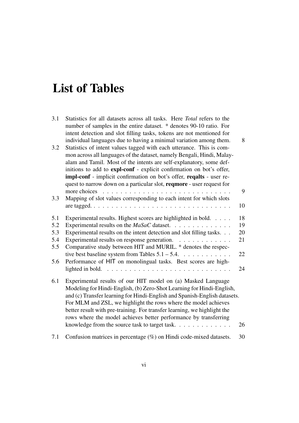# List of Tables

| 3.1        | Statistics for all datasets across all tasks. Here Total refers to the<br>number of samples in the entire dataset. * denotes 90-10 ratio. For<br>intent detection and slot filling tasks, tokens are not mentioned for<br>individual languages due to having a minimal variation among them.                                                                                                                                                                                           | 8  |
|------------|----------------------------------------------------------------------------------------------------------------------------------------------------------------------------------------------------------------------------------------------------------------------------------------------------------------------------------------------------------------------------------------------------------------------------------------------------------------------------------------|----|
| 3.2        | Statistics of intent values tagged with each utterance. This is com-<br>mon across all languages of the dataset, namely Bengali, Hindi, Malay-<br>alam and Tamil. Most of the intents are self-explanatory, some def-<br>initions to add to expl-conf - explicit confirmation on bot's offer,<br>impl-conf - implicit confirmation on bot's offer, reqalts - user re-<br>quest to narrow down on a particular slot, reqmore - user request for                                         |    |
|            |                                                                                                                                                                                                                                                                                                                                                                                                                                                                                        | 9  |
| 3.3        | Mapping of slot values corresponding to each intent for which slots                                                                                                                                                                                                                                                                                                                                                                                                                    | 10 |
|            |                                                                                                                                                                                                                                                                                                                                                                                                                                                                                        |    |
| 5.1        | Experimental results. Highest scores are highlighted in bold.                                                                                                                                                                                                                                                                                                                                                                                                                          | 18 |
| 5.2        |                                                                                                                                                                                                                                                                                                                                                                                                                                                                                        | 19 |
| 5.3        | Experimental results on the intent detection and slot filling tasks.                                                                                                                                                                                                                                                                                                                                                                                                                   | 20 |
| 5.4<br>5.5 | Experimental results on response generation.<br>.<br>Comparative study between HIT and MURIL. * denotes the respec-                                                                                                                                                                                                                                                                                                                                                                    | 21 |
| 5.6        | tive best baseline system from Tables $5.1 - 5.4$<br>Performance of HIT on monolingual tasks. Best scores are high-                                                                                                                                                                                                                                                                                                                                                                    | 22 |
|            |                                                                                                                                                                                                                                                                                                                                                                                                                                                                                        | 24 |
| 6.1        | Experimental results of our HIT model on (a) Masked Language<br>Modeling for Hindi-English, (b) Zero-Shot Learning for Hindi-English,<br>and (c) Transfer learning for Hindi-English and Spanish-English datasets.<br>For MLM and ZSL, we highlight the rows where the model achieves<br>better result with pre-training. For transfer learning, we highlight the<br>rows where the model achieves better performance by transferring<br>knowledge from the source task to target task | 26 |
| 7.1        | Confusion matrices in percentage (%) on Hindi code-mixed datasets.                                                                                                                                                                                                                                                                                                                                                                                                                     | 30 |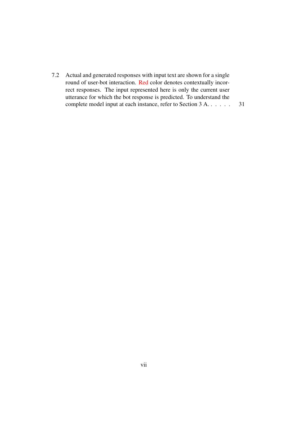[7.2 Actual and generated responses with input text are shown for a single](#page-40-2) round of user-bot interaction. Red [color denotes contextually incor](#page-40-2)[rect responses. The input represented here is only the current user](#page-40-2) [utterance for which the bot response is predicted. To understand the](#page-40-2) [complete model input at each instance, refer to Section 3 A.](#page-40-2) . . . . . . 31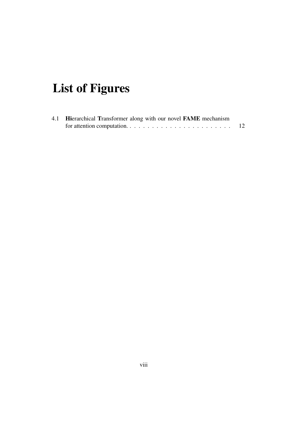# List of Figures

| 4.1 Hierarchical Transformer along with our novel FAME mechanism |    |
|------------------------------------------------------------------|----|
|                                                                  | 12 |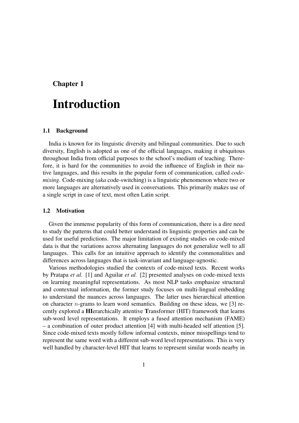### <span id="page-10-0"></span>Chapter 1

# Introduction

#### <span id="page-10-1"></span>1.1 Background

India is known for its linguistic diversity and bilingual communities. Due to such diversity, English is adopted as one of the official languages, making it ubiquitous throughout India from official purposes to the school's medium of teaching. Therefore, it is hard for the communities to avoid the influence of English in their native languages, and this results in the popular form of communication, called *codemixing*. Code-mixing (*aka* code-switching) is a linguistic phenomenon where two or more languages are alternatively used in conversations. This primarily makes use of a single script in case of text, most often Latin script.

#### <span id="page-10-2"></span>1.2 Motivation

Given the immense popularity of this form of communication, there is a dire need to study the patterns that could better understand its linguistic properties and can be used for useful predictions. The major limitation of existing studies on code-mixed data is that the variations across alternating languages do not generalize well to all languages. This calls for an intuitive approach to identify the commonalities and differences across languages that is task-invariant and language-agnostic.

Various methodologies studied the contexts of code-mixed texts. Recent works by Pratapa *et al.* [\[1\]](#page-43-0) and Aguilar *et al.* [\[2\]](#page-43-1) presented analyses on code-mixed texts on learning meaningful representations. As most NLP tasks emphasize structural and contextual information, the former study focuses on multi-lingual embedding to understand the nuances across languages. The latter uses hierarchical attention on character *n*-grams to learn word semantics. Building on these ideas, we [\[3\]](#page-43-2) recently explored a HIerarchically attentive Transformer (HIT) framework that learns sub-word level representations. It employs a fused attention mechanism (FAME) – a combination of outer product attention [\[4\]](#page-43-3) with multi-headed self attention [\[5\]](#page-43-4). Since code-mixed texts mostly follow informal contexts, minor misspellings tend to represent the same word with a different sub-word level representations. This is very well handled by character-level HIT that learns to represent similar words nearby in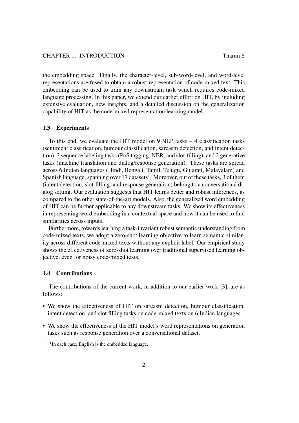the embedding space. Finally, the character-level, sub-word-level, and word-level representations are fused to obtain a robust representation of code-mixed text. This embedding can be used to train any downstream task which requires code-mixed language processing. In this paper, we extend our earlier effort on HIT, by including extensive evaluation, new insights, and a detailed discussion on the generalization capability of HIT as the code-mixed representation learning model.

#### <span id="page-11-0"></span>1.3 Experiments

To this end, we evaluate the HIT model on 9 NLP tasks – 4 classification tasks (sentiment classification, humour classification, sarcasm detection, and intent detection), 3 sequence labeling tasks (PoS tagging, NER, and slot-filling), and 2 generative tasks (machine translation and dialog/response generation). These tasks are spread across 6 Indian languages (Hindi, Bengali, Tamil, Telugu, Gujarati, Malayalam) and Spanish language, spanning over [1](#page-11-2)7 datasets<sup>1</sup>. Moreover, out of these tasks, 3 of them (intent detection, slot-filling, and response generation) belong to a conversational dialog setting. Our evaluation suggests that HIT learns better and robust inferences, as compared to the other state-of-the-art models. Also, the generalized word embedding of HIT can be further applicable to any downstream tasks. We show its effectiveness in representing word embedding in a contextual space and how it can be used to find similarities across inputs.

Furthermore, towards learning a task-invariant robust semantic understanding from code-mixed texts, we adopt a zero-shot learning objective to learn semantic similarity across different code-mixed texts without any explicit label. Our empirical study shows the effectiveness of zero-shot learning over traditional supervised learning objective, even for noisy code-mixed texts.

#### <span id="page-11-1"></span>1.4 Contributions

The contributions of the current work, in addition to our earlier work [\[3\]](#page-43-2), are as follows:

- We show the effectiveness of HIT on sarcasm detection, humour classification, intent detection, and slot filling tasks on code-mixed texts on 6 Indian languages.
- We show the effectiveness of the HIT model's word representations on generation tasks such as response generation over a conversational dataset.

<span id="page-11-2"></span><sup>&</sup>lt;sup>1</sup>In each case, English is the embedded language.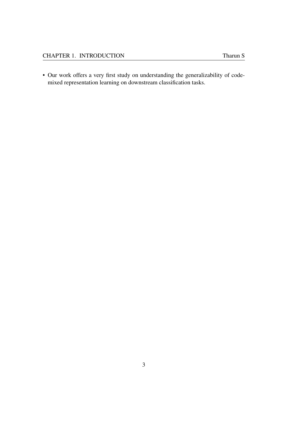• Our work offers a very first study on understanding the generalizability of codemixed representation learning on downstream classification tasks.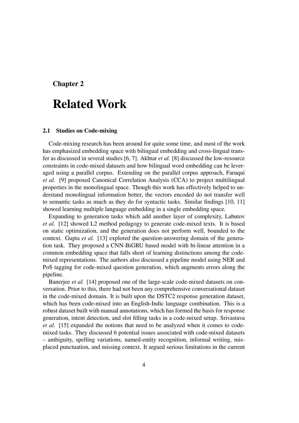### <span id="page-13-0"></span>Chapter 2

# Related Work

#### <span id="page-13-1"></span>2.1 Studies on Code-mixing

Code-mixing research has been around for quite some time, and most of the work has emphasized embedding space with bilingual embedding and cross-lingual transfer as discussed in several studies [\[6,](#page-43-5) [7\]](#page-43-6). Akhtar *et al.* [\[8\]](#page-43-7) discussed the low-resource constraints in code-mixed datasets and how bilingual word embedding can be leveraged using a parallel corpus. Extending on the parallel corpus approach, Faruqui *et al.* [\[9\]](#page-43-8) proposed Canonical Correlation Analysis (CCA) to project multilingual properties in the monolingual space. Though this work has effectively helped to understand monolingual information better, the vectors encoded do not transfer well to semantic tasks as much as they do for syntactic tasks. Similar findings [\[10,](#page-43-9) [11\]](#page-43-10) showed learning multiple language embedding in a single embedding space.

Expanding to generation tasks which add another layer of complexity, Labutov *et al.* [\[12\]](#page-44-0) showed L2 method pedagogy to generate code-mixed texts. It is based on static optimization, and the generation does not perform well, bounded to the context. Gupta *et al.* [\[13\]](#page-44-1) explored the question-answering domain of the generation task. They proposed a CNN-BiGRU based model with bi-linear attention in a common embedding space that falls short of learning distinctions among the codemixed representations. The authors also discussed a pipeline model using NER and PoS tagging for code-mixed question generation, which augments errors along the pipeline.

Banerjee *et al.* [\[14\]](#page-44-2) proposed one of the large-scale code-mixed datasets on conversation. Prior to this, there had not been any comprehensive conversational dataset in the code-mixed domain. It is built upon the DSTC2 response generation dataset, which has been code-mixed into an English-Indic language combination. This is a robust dataset built with manual annotations, which has formed the basis for response generation, intent detection, and slot filling tasks in a code-mixed setup. Srivastava *et al.* [\[15\]](#page-44-3) expanded the notions that need to be analyzed when it comes to codemixed tasks. They discussed 6 potential issues associated with code-mixed datasets – ambiguity, spelling variations, named-entity recognition, informal writing, misplaced punctuation, and missing context. It argued serious limitations in the current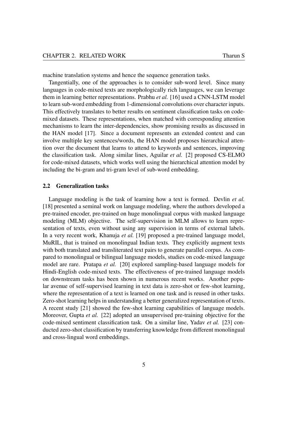machine translation systems and hence the sequence generation tasks.

Tangentially, one of the approaches is to consider sub-word level. Since many languages in code-mixed texts are morphologically rich languages, we can leverage them in learning better representations. Prabhu *et al.* [\[16\]](#page-44-4) used a CNN-LSTM model to learn sub-word embedding from 1-dimensional convolutions over character inputs. This effectively translates to better results on sentiment classification tasks on codemixed datasets. These representations, when matched with corresponding attention mechanisms to learn the inter-dependencies, show promising results as discussed in the HAN model [\[17\]](#page-44-5). Since a document represents an extended context and can involve multiple key sentences/words, the HAN model proposes hierarchical attention over the document that learns to attend to keywords and sentences, improving the classification task. Along similar lines, Aguilar *et al.* [\[2\]](#page-43-1) proposed CS-ELMO for code-mixed datasets, which works well using the hierarchical attention model by including the bi-gram and tri-gram level of sub-word embedding.

#### <span id="page-14-0"></span>2.2 Generalization tasks

Language modeling is the task of learning how a text is formed. Devlin *et al.* [\[18\]](#page-44-6) presented a seminal work on language modeling, where the authors developed a pre-trained encoder, pre-trained on huge monolingual corpus with masked language modeling (MLM) objective. The self-supervision in MLM allows to learn representation of texts, even without using any supervision in terms of external labels. In a very recent work, Khanuja *et al.* [\[19\]](#page-44-7) proposed a pre-trained language model, MuRIL, that is trained on monolingual Indian texts. They explicitly augment texts with both translated and transliterated text pairs to generate parallel corpus. As compared to monolingual or bilingual language models, studies on code-mixed language model are rare. Pratapa *et al.* [\[20\]](#page-44-8) explored sampling-based language models for Hindi-English code-mixed texts. The effectiveness of pre-trained language models on downstream tasks has been shown in numerous recent works. Another popular avenue of self-supervised learning in text data is zero-shot or few-shot learning, where the representation of a text is learned on one task and is reused in other tasks. Zero-shot learning helps in understanding a better generalized representation of texts. A recent study [\[21\]](#page-44-9) showed the few-shot learning capabilities of language models. Moreover, Gupta *et al.* [\[22\]](#page-44-10) adopted an unsupervised pre-training objective for the code-mixed sentiment classification task. On a similar line, Yadav *et al.* [\[23\]](#page-44-11) conducted zero-shot classification by transferring knowledge from different monolingual and cross-lingual word embeddings.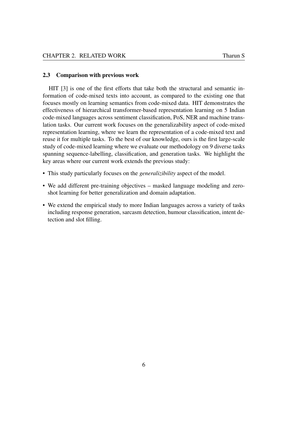#### <span id="page-15-0"></span>2.3 Comparison with previous work

HIT [\[3\]](#page-43-2) is one of the first efforts that take both the structural and semantic information of code-mixed texts into account, as compared to the existing one that focuses mostly on learning semantics from code-mixed data. HIT demonstrates the effectiveness of hierarchical transformer-based representation learning on 5 Indian code-mixed languages across sentiment classification, PoS, NER and machine translation tasks. Our current work focuses on the generalizability aspect of code-mixed representation learning, where we learn the representation of a code-mixed text and reuse it for multiple tasks. To the best of our knowledge, ours is the first large-scale study of code-mixed learning where we evaluate our methodology on 9 diverse tasks spanning sequence-labelling, classification, and generation tasks. We highlight the key areas where our current work extends the previous study:

- This study particularly focuses on the *generalizibility* aspect of the model.
- We add different pre-training objectives masked language modeling and zeroshot learning for better generalization and domain adaptation.
- We extend the empirical study to more Indian languages across a variety of tasks including response generation, sarcasm detection, humour classification, intent detection and slot filling.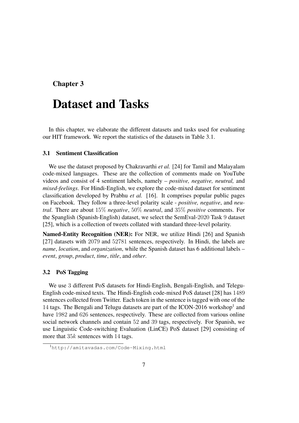## <span id="page-16-0"></span>Chapter 3

# Dataset and Tasks

In this chapter, we elaborate the different datasets and tasks used for evaluating our HIT framework. We report the statistics of the datasets in Table [3.1.](#page-17-0)

### <span id="page-16-1"></span>3.1 Sentiment Classification

We use the dataset proposed by Chakravarthi *et al.* [\[24\]](#page-45-0) for Tamil and Malayalam code-mixed languages. These are the collection of comments made on YouTube videos and consist of 4 sentiment labels, namely – *positive, negative, neutral,* and *mixed-feelings*. For Hindi-English, we explore the code-mixed dataset for sentiment classification developed by Prabhu *et al.* [\[16\]](#page-44-4). It comprises popular public pages on Facebook. They follow a three-level polarity scale - *positive, negative*, and *neutral*. There are about 15% *negative*, 50% *neutral*, and 35% *positive* comments. For the Spanglish (Spanish-English) dataset, we select the SemEval-2020 Task 9 dataset [\[25\]](#page-45-1), which is a collection of tweets collated with standard three-level polarity.

Named-Entity Recognition (NER): For NER, we utilize Hindi [\[26\]](#page-45-2) and Spanish [\[27\]](#page-45-3) datasets with 2079 and 52781 sentences, respectively. In Hindi, the labels are *name*, *location*, and *organization*, while the Spanish dataset has 6 additional labels – *event*, *group*, *product*, *time*, *title*, and *other*.

#### <span id="page-16-2"></span>3.2 PoS Tagging

We use 3 different PoS datasets for Hindi-English, Bengali-English, and Telegu-English code-mixed texts. The Hindi-English code-mixed PoS dataset [\[28\]](#page-45-4) has 1489 sentences collected from Twitter. Each token in the sentence is tagged with one of the [1](#page-16-3)4 tags. The Bengali and Telugu datasets are part of the ICON-2016 workshop<sup>1</sup> and have 1982 and 626 sentences, respectively. These are collected from various online social network channels and contain 52 and 39 tags, respectively. For Spanish, we use Linguistic Code-switching Evaluation (LinCE) PoS dataset [\[29\]](#page-45-5) consisting of more that  $35k$  sentences with 14 tags.

<span id="page-16-3"></span><sup>1</sup><http://amitavadas.com/Code-Mixing.html>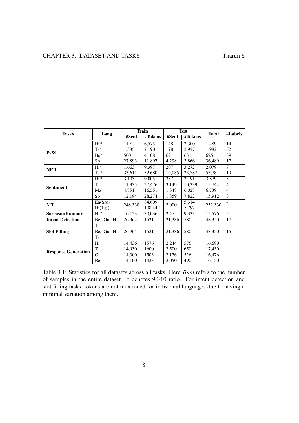<span id="page-17-0"></span>

| <b>Tasks</b>               |             |         | <b>Train</b> |        | <b>Test</b> | <b>Total</b> | #Labels        |
|----------------------------|-------------|---------|--------------|--------|-------------|--------------|----------------|
|                            | Lang        | #Sent   | #Tokens      | #Sent  | #Tokens     |              |                |
|                            | $Hi*$       | 1191    | 6,575        | 148    | 2,300       | 1,489        | 14             |
| <b>POS</b>                 | Te*         | 1,585   | 7,190        | 198    | 2,927       | 1,982        | 52             |
|                            | Be*         | 500     | 4,108        | 62     | 631         | 626          | 39             |
|                            | Sp          | 27,893  | 11,897       | 4,298  | 3,866       | 36,489       | 17             |
| <b>NER</b>                 | $Hi*$       | 1,663   | 9,397        | 207    | 3,272       | 2,079        | 7              |
|                            | $Te^*$      | 33,611  | 52,680       | 10,085 | 23,787      | 53,781       | 19             |
|                            | Hi*         | 3,103   | 9,005        | 387    | 3,191       | 3,879        | 3              |
| <b>Sentiment</b>           | Ta          | 11,335  | 27,476       | 3,149  | 10,339      | 15,744       | 4              |
|                            | Ma          | 4,851   | 16,551       | 1,348  | 6,028       | 6,739        | $\overline{4}$ |
|                            | Sp          | 12,194  | 28,274       | 1,859  | 7,822       | 15,912       | 3              |
| <b>MT</b>                  | En(Src)     | 248,330 | 84,609       | 2,000  | 5,314       |              |                |
|                            | Hi(Tgt)     |         | 108,442      |        | 5,797       | 252,330      |                |
| Sarcasm/Humour             | $Hi*$       | 16,123  | 30,036       | 2,475  | 9,333       | 15,576       | $\overline{2}$ |
| <b>Intent Detection</b>    | Be, Gu, Hi, | 26,964  | 1521         | 21,386 | 580         | 48,350       | 17             |
|                            | Ta          |         |              |        |             |              |                |
| <b>Slot Filling</b>        | Be, Gu, Hi, | 26,964  | 1521         | 21,386 | 580         | 48,350       | 15             |
|                            | Ta          |         |              |        |             |              |                |
|                            | Hi          | 14,436  | 1576         | 2,244  | 576         | 16,680       |                |
| <b>Response Generation</b> | Ta          | 14,930  | 1600         | 2,500  | 650         | 17,430       |                |
|                            | Gu          | 14,300  | 1503         | 2,176  | 526         | 16,476       |                |
|                            | Be          | 14,100  | 1423         | 2,050  | 490         | 16,150       |                |

Table 3.1: Statistics for all datasets across all tasks. Here *Total* refers to the number of samples in the entire dataset. \* denotes 90-10 ratio. For intent detection and slot filling tasks, tokens are not mentioned for individual languages due to having a minimal variation among them.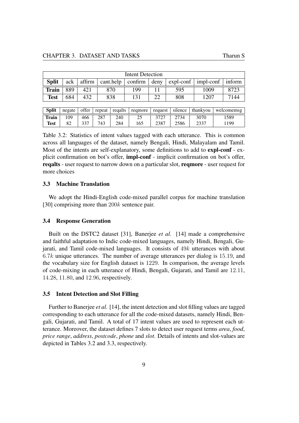| Intent Detection |     |     |     |     |  |     |                                                                                                                         |      |  |  |  |
|------------------|-----|-----|-----|-----|--|-----|-------------------------------------------------------------------------------------------------------------------------|------|--|--|--|
| <b>Split</b>     | ack |     |     |     |  |     | $\alpha$ affirm $\alpha$ cant.help $\alpha$ confirm $\alpha$ deny $\alpha$ expl-conf $\alpha$ impl-conf $\alpha$ inform |      |  |  |  |
| <b>Train</b>     | 889 | 421 | 870 | 199 |  | 595 | 1009                                                                                                                    |      |  |  |  |
| <b>Test</b>      | 684 | 432 | 838 | 131 |  | 808 | 1207                                                                                                                    | 7144 |  |  |  |

<span id="page-18-3"></span>

| <b>Split</b> | negate |     |     | offer $ $ repeat $ $ regalts | regmore   reguest |      | silence | thankvou | welcomemsg |
|--------------|--------|-----|-----|------------------------------|-------------------|------|---------|----------|------------|
| <b>Train</b> | 109    | 466 | 287 | 240                          |                   |      | 2734    | 3070     | .589       |
| <b>Test</b>  |        | 337 | 743 | 284                          | .65               | 2387 | 2586    | 2337     | 1199       |

Table 3.2: Statistics of intent values tagged with each utterance. This is common across all languages of the dataset, namely Bengali, Hindi, Malayalam and Tamil. Most of the intents are self-explanatory, some definitions to add to expl-conf - explicit confirmation on bot's offer, impl-conf - implicit confirmation on bot's offer, reqalts - user request to narrow down on a particular slot, reqmore - user request for more choices

#### <span id="page-18-0"></span>3.3 Machine Translation

We adopt the Hindi-English code-mixed parallel corpus for machine translation [\[30\]](#page-45-6) comprising more than 200k sentence pair.

#### <span id="page-18-1"></span>3.4 Response Generation

Built on the DSTC2 dataset [\[31\]](#page-45-7), Banerjee *et al.* [\[14\]](#page-44-2) made a comprehensive and faithful adaptation to Indic code-mixed languages, namely Hindi, Bengali, Gujarati, and Tamil code-mixed languages. It consists of 49k utterances with about  $6.7k$  unique utterances. The number of average utterances per dialog is 15.19, and the vocabulary size for English dataset is 1229. In comparison, the average levels of code-mixing in each utterance of Hindi, Bengali, Gujarati, and Tamil are 12.11, 14.28, 11.80, and 12.96, respectively.

#### <span id="page-18-2"></span>3.5 Intent Detection and Slot Filling

Further to Banerjee *et al.* [\[14\]](#page-44-2), the intent detection and slot filling values are tagged corresponding to each utterance for all the code-mixed datasets, namely Hindi, Bengali, Gujarati, and Tamil. A total of 17 intent values are used to represent each utterance. Moreover, the dataset defines 7 slots to detect user request terms *area*, *food*, *price range*, *address*, *postcode*, *phone* and *slot*. Details of intents and slot-values are depicted in Tables [3.2](#page-18-3) and [3.3,](#page-19-1) respectively.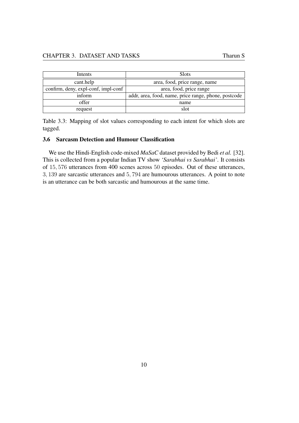#### CHAPTER 3. DATASET AND TASKS Tharun S

<span id="page-19-1"></span>

| Intents                             | <b>Slots</b>                                         |  |  |  |
|-------------------------------------|------------------------------------------------------|--|--|--|
| cant.help                           | area, food, price range, name                        |  |  |  |
| confirm, deny, expl-conf, impl-conf | area, food, price range                              |  |  |  |
| inform                              | addr, area, food, name, price range, phone, postcode |  |  |  |
| offer                               | name                                                 |  |  |  |
| request                             | slot                                                 |  |  |  |

Table 3.3: Mapping of slot values corresponding to each intent for which slots are tagged.

#### <span id="page-19-0"></span>3.6 Sarcasm Detection and Humour Classification

We use the Hindi-English code-mixed *MaSaC* dataset provided by Bedi *et al.* [\[32\]](#page-45-8). This is collected from a popular Indian TV show *'Sarabhai vs Sarabhai'*. It consists of 15, 576 utterances from 400 scenes across 50 episodes. Out of these utterances, 3, 139 are sarcastic utterances and 5, 794 are humourous utterances. A point to note is an utterance can be both sarcastic and humourous at the same time.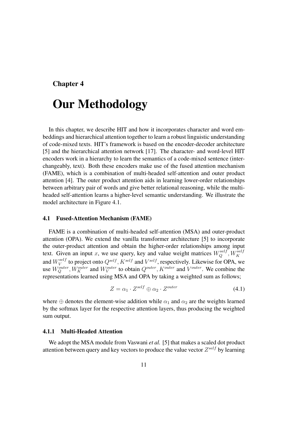### <span id="page-20-0"></span>Chapter 4

# Our Methodology

In this chapter, we describe HIT and how it incorporates character and word embeddings and hierarchical attention together to learn a robust linguistic understanding of code-mixed texts. HIT's framework is based on the encoder-decoder architecture [\[5\]](#page-43-4) and the hierarchical attention network [\[17\]](#page-44-5). The character- and word-level HIT encoders work in a hierarchy to learn the semantics of a code-mixed sentence (interchangeably, text). Both these encoders make use of the fused attention mechanism (FAME), which is a combination of multi-headed self-attention and outer product attention [\[4\]](#page-43-3). The outer product attention aids in learning lower-order relationships between arbitrary pair of words and give better relational reasoning, while the multiheaded self-attention learns a higher-level semantic understanding. We illustrate the model architecture in Figure [4.1.](#page-21-1)

#### <span id="page-20-1"></span>4.1 Fused-Attention Mechanism (FAME)

FAME is a combination of multi-headed self-attention (MSA) and outer-product attention (OPA). We extend the vanilla transformer architecture [\[5\]](#page-43-4) to incorporate the outer-product attention and obtain the higher-order relationships among input text. Given an input x, we use query, key and value weight matrices  $W_Q^{self}$ ,  $W_K^{self}$ and  $W_V^{self}$  $V^{self}_{V}$  to project onto  $Q^{self}$ ,  $K^{self}$  and  $V^{self}$ , respectively. Likewise for OPA, we use  $W_Q^{outer}$ ,  $W_K^{outer}$  and  $W_V^{outer}$  to obtain  $Q^{outer}$ ,  $K^{outer}$  and  $V^{outer}$ . We combine the representations learned using MSA and OPA by taking a weighted sum as follows;

$$
Z = \alpha_1 \cdot Z^{self} \oplus \alpha_2 \cdot Z^{outer}
$$
 (4.1)

where  $\oplus$  denotes the element-wise addition while  $\alpha_1$  and  $\alpha_2$  are the weights learned by the softmax layer for the respective attention layers, thus producing the weighted sum output.

#### <span id="page-20-2"></span>4.1.1 Multi-Headed Attention

We adopt the MSA module from Vaswani *et al.* [\[5\]](#page-43-4) that makes a scaled dot product attention between query and key vectors to produce the value vector  $Z^{self}$  by learning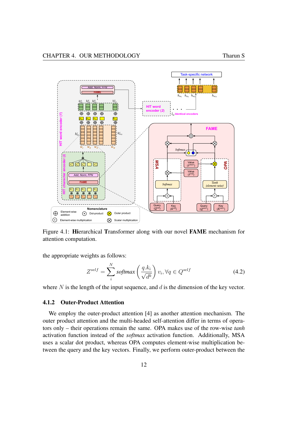<span id="page-21-1"></span>

Figure 4.1: Hierarchical Transformer along with our novel FAME mechanism for attention computation.

the appropriate weights as follows:

$$
Z^{self} = \sum_{i}^{N} softmax\left(\frac{q.k_i}{\sqrt{d^k}}\right) v_i, \forall q \in Q^{self}
$$
 (4.2)

where  $N$  is the length of the input sequence, and  $d$  is the dimension of the key vector.

#### <span id="page-21-0"></span>4.1.2 Outer-Product Attention

We employ the outer-product attention [\[4\]](#page-43-3) as another attention mechanism. The outer product attention and the multi-headed self-attention differ in terms of operators only – their operations remain the same. OPA makes use of the row-wise *tanh* activation function instead of the *softmax* activation function. Additionally, MSA uses a scalar dot product, whereas OPA computes element-wise multiplication between the query and the key vectors. Finally, we perform outer-product between the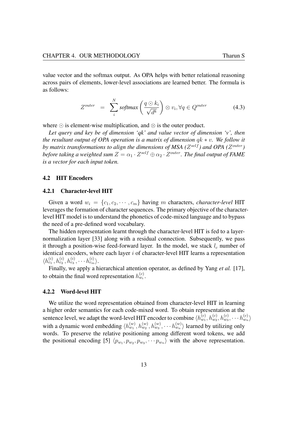value vector and the softmax output. As OPA helps with better relational reasoning across pairs of elements, lower-level associations are learned better. The formula is as follows:

$$
Z^{outer} = \sum_{i}^{N} softmax\left(\frac{q \odot k_i}{\sqrt{d^k}}\right) \otimes v_i, \forall q \in Q^{outer}
$$
 (4.3)

where  $\odot$  is element-wise multiplication, and  $\otimes$  is the outer product.

*Let query and key be of dimension 'qk' and value vector of dimension 'v', then the resultant output of OPA operation is a matrix of dimension* qk ∗ v*. We follow it* by matrix transformations to align the dimensions of MSA ( $Z^{self}$ ) and OPA ( $Z^{outer}$ ) before taking a weighted sum  $Z = \alpha_1 \cdot Z^{self} \oplus \alpha_2 \cdot Z^{outer}$ . The final output of FAME *is a vector for each input token.*

#### <span id="page-22-0"></span>4.2 HIT Encoders

#### <span id="page-22-1"></span>4.2.1 Character-level HIT

Given a word  $w_i = \{c_1, c_2, \dots, c_m\}$  having m characters, *character-level* HIT leverages the formation of character sequences. The primary objective of the characterlevel HIT model is to understand the phonetics of code-mixed language and to bypass the need of a pre-defined word vocabulary.

The hidden representation learnt through the character-level HIT is fed to a layernormalization layer [\[33\]](#page-45-9) along with a residual connection. Subsequently, we pass it through a position-wise feed-forward layer. In the model, we stack  $l_c$  number of identical encoders, where each layer  $i$  of character-level HIT learns a representation  $\langle h_{c_1}^{(i)}, h_{c_2}^{(i)}, h_{c_3}^{(i)}, \cdots h_{c_m}^{(i)} \rangle.$ 

Finally, we apply a hierarchical attention operator, as defined by Yang *et al.* [\[17\]](#page-44-5), to obtain the final word representation  $h_{w_i}^{(c)}$ .

#### <span id="page-22-2"></span>4.2.2 Word-level HIT

We utilize the word representation obtained from character-level HIT in learning a higher order semantics for each code-mixed word. To obtain representation at the sentence level, we adapt the word-level HIT encoder to combine  $\langle h_{w_1}^{(c)}, h_{w_2}^{(c)}, h_{w_3}^{(c)}, \cdots, h_{w_n}^{(c)} \rangle$ with a dynamic word embedding  $\langle h_{w_1}^{(w)}, h_{w_2}^{(w)}, h_{w_3}^{(w)}, \cdots, h_{w_n}^{(w)} \rangle$  learned by utilizing only words. To preserve the relative positioning among different word tokens, we add the positional encoding [\[5\]](#page-43-4)  $\langle p_{w_1}, p_{w_2}, p_{w_3}, \cdots, p_{w_n} \rangle$  with the above representation.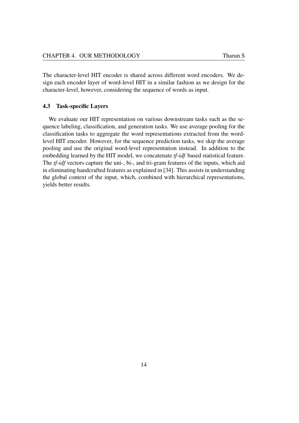The character-level HIT encoder is shared across different word encoders. We design each encoder layer of word-level HIT in a similar fashion as we design for the character-level, however, considering the sequence of words as input.

#### <span id="page-23-0"></span>4.3 Task-specific Layers

We evaluate our HIT representation on various downstream tasks such as the sequence labeling, classification, and generation tasks. We use average pooling for the classification tasks to aggregate the word representations extracted from the wordlevel HIT encoder. However, for the sequence prediction tasks, we skip the average pooling and use the original word-level representation instead. In addition to the embedding learned by the HIT model, we concatenate *tf-idf* based statistical feature. The *tf-idf* vectors capture the uni-, bi-, and tri-gram features of the inputs, which aid in eliminating handcrafted features as explained in [\[34\]](#page-46-0). This assists in understanding the global context of the input, which, combined with hierarchical representations, yields better results.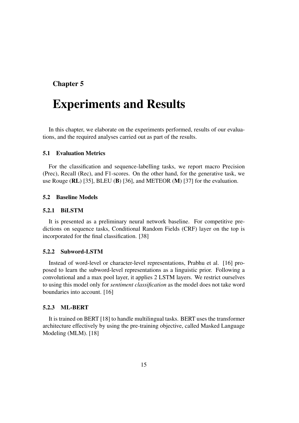### <span id="page-24-0"></span>Chapter 5

# Experiments and Results

In this chapter, we elaborate on the experiments performed, results of our evaluations, and the required analyses carried out as part of the results.

### <span id="page-24-1"></span>5.1 Evaluation Metrics

For the classification and sequence-labelling tasks, we report macro Precision (Prec), Recall (Rec), and F1-scores. On the other hand, for the generative task, we use Rouge (RL) [\[35\]](#page-46-1), BLEU (B) [\[36\]](#page-46-2), and METEOR (M) [\[37\]](#page-46-3) for the evaluation.

#### <span id="page-24-2"></span>5.2 Baseline Models

#### <span id="page-24-3"></span>5.2.1 BiLSTM

It is presented as a preliminary neural network baseline. For competitive predictions on sequence tasks, Conditional Random Fields (CRF) layer on the top is incorporated for the final classification. [\[38\]](#page-46-4)

#### <span id="page-24-4"></span>5.2.2 Subword-LSTM

Instead of word-level or character-level representations, Prabhu et al. [\[16\]](#page-44-4) proposed to learn the subword-level representations as a linguistic prior. Following a convolutional and a max pool layer, it applies 2 LSTM layers. We restrict ourselves to using this model only for *sentiment classification* as the model does not take word boundaries into account. [\[16\]](#page-44-4)

#### <span id="page-24-5"></span>5.2.3 ML-BERT

It is trained on BERT [\[18\]](#page-44-6) to handle multilingual tasks. BERT uses the transformer architecture effectively by using the pre-training objective, called Masked Language Modeling (MLM). [\[18\]](#page-44-6)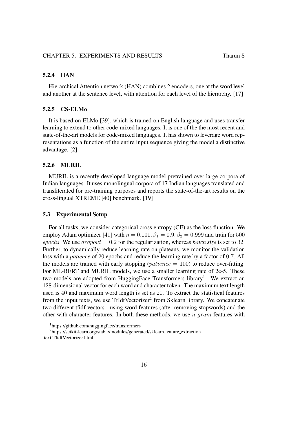#### <span id="page-25-0"></span>5.2.4 HAN

Hierarchical Attention network (HAN) combines 2 encoders, one at the word level and another at the sentence level, with attention for each level of the hierarchy. [\[17\]](#page-44-5)

#### <span id="page-25-1"></span>5.2.5 CS-ELMo

It is based on ELMo [\[39\]](#page-46-5), which is trained on English language and uses transfer learning to extend to other code-mixed languages. It is one of the the most recent and state-of-the-art models for code-mixed languages. It has shown to leverage word representations as a function of the entire input sequence giving the model a distinctive advantage. [\[2\]](#page-43-1)

#### <span id="page-25-2"></span>5.2.6 MURIL

MURIL is a recently developed language model pretrained over large corpora of Indian languages. It uses monolingual corpora of 17 Indian languages translated and transliterated for pre-training purposes and reports the state-of-the-art results on the cross-lingual XTREME [\[40\]](#page-46-6) benchmark. [\[19\]](#page-44-7)

#### <span id="page-25-3"></span>5.3 Experimental Setup

For all tasks, we consider categorical cross entropy (CE) as the loss function. We employ Adam optimizer [\[41\]](#page-46-7) with  $\eta = 0.001$ ,  $\beta_1 = 0.9$ ,  $\beta_2 = 0.999$  and train for 500 *epochs*. We use  $dropout = 0.2$  for the regularization, whereas *batch size* is set to 32. Further, to dynamically reduce learning rate on plateaus, we monitor the validation loss with a *patience* of 20 epochs and reduce the learning rate by a factor of 0.7. All the models are trained with early stopping ( $patience = 100$ ) to reduce over-fitting. For ML-BERT and MURIL models, we use a smaller learning rate of 2e-5. These two models are adopted from HuggingFace Transformers library<sup>[1](#page-25-4)</sup>. We extract an 128-dimensional vector for each word and character token. The maximum text length used is 40 and maximum word length is set as 20. To extract the statistical features from the input texts, we use TfIdfVectorizer<sup>[2](#page-25-5)</sup> from Sklearn library. We concatenate two different tfidf vectors - using word features (after removing stopwords) and the other with character features. In both these methods, we use  $n\text{-}gram$  features with

<span id="page-25-5"></span><span id="page-25-4"></span><sup>1</sup>https://github.com/huggingface/transformers

<sup>&</sup>lt;sup>2</sup>https://scikit-learn.org/stable/modules/generated/sklearn.feature\_extraction .text.TfidfVectorizer.html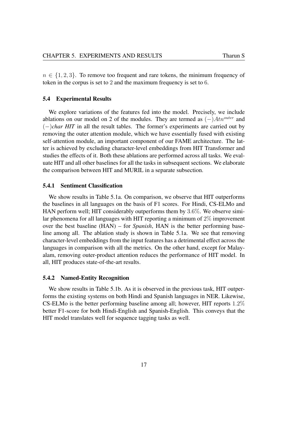$n \in \{1, 2, 3\}$ . To remove too frequent and rare tokens, the minimum frequency of token in the corpus is set to 2 and the maximum frequency is set to 6.

#### <span id="page-26-0"></span>5.4 Experimental Results

We explore variations of the features fed into the model. Precisely, we include ablations on our model on 2 of the modules. They are termed as  $(-)Atn^{outer}$  and (−)*char HIT* in all the result tables. The former's experiments are carried out by removing the outer attention module, which we have essentially fused with existing self-attention module, an important component of our FAME architecture. The latter is achieved by excluding character-level embeddings from HIT Transformer and studies the effects of it. Both these ablations are performed across all tasks. We evaluate HIT and all other baselines for all the tasks in subsequent sections. We elaborate the comparison between HIT and MURIL in a separate subsection.

#### <span id="page-26-1"></span>5.4.1 Sentiment Classification

We show results in Table [5.1a.](#page-27-1) On comparison, we observe that HIT outperforms the baselines in all languages on the basis of F1 scores. For Hindi, CS-ELMo and HAN perform well; HIT considerably outperforms them by 3.6%. We observe similar phenomena for all languages with HIT reporting a minimum of  $2\%$  improvement over the best baseline (HAN) – for *Spanish*, HAN is the better performing baseline among all. The ablation study is shown in Table [5.1a.](#page-27-1) We see that removing character-level embeddings from the input features has a detrimental effect across the languages in comparison with all the metrics. On the other hand, except for Malayalam, removing outer-product attention reduces the performance of HIT model. In all, HIT produces state-of-the-art results.

#### <span id="page-26-2"></span>5.4.2 Named-Entity Recognition

We show results in Table [5.1b.](#page-27-2) As it is observed in the previous task, HIT outperforms the existing systems on both Hindi and Spanish languages in NER. Likewise, CS-ELMo is the better performing baseline among all; however, HIT reports 1.2% better F1-score for both Hindi-English and Spanish-English. This conveys that the HIT model translates well for sequence tagging tasks as well.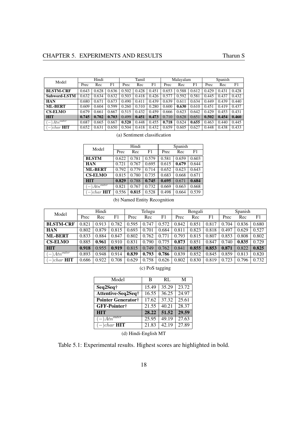<span id="page-27-1"></span><span id="page-27-0"></span>

| Model                 | Hindi |       |       | Tamil |       |       | Malayalam |       |       | Spanish |       |       |
|-----------------------|-------|-------|-------|-------|-------|-------|-----------|-------|-------|---------|-------|-------|
|                       | Prec  | Rec   | F1    | Prec  | Rec   | F1    | Prec      | Rec   | F1    | Prec    | Rec   | F1    |
| <b>BLSTM-CRF</b>      | 0.643 | 0.628 | 0.636 | 0.502 | 0.428 | 0.451 | 0.653     | 0.588 | 0.612 | 0.429   | 0.431 | 0.428 |
| Subword-LSTM          | 0.632 | 0.634 | 0.632 | 0.503 | 0.418 | 0.426 | 0.577     | 0.592 | 0.581 | 0.445   | 0.437 | 0.432 |
| <b>HAN</b>            | 0.680 | 0.671 | 0.673 | 0.490 | 0.411 | 0.439 | 0.639     | 0.611 | 0.634 | 0.449   | 0.439 | 0.440 |
| <b>ML-BERT</b>        | 0.609 | 0.604 | 0.599 | 0.260 | 0.310 | 0.280 | 0.600     | 0.630 | 0.610 | 0.451   | 0.419 | 0.437 |
| <b>CS-ELMO</b>        | 0.679 | 0.661 | 0.667 | 0.515 | 0.432 | 0.459 | 0.666     | 0.623 | 0.642 | 0.429   | 0.453 | 0.431 |
| <b>HIT</b>            | 0.745 | 0.702 | 0.703 | 0.499 | 0.451 | 0.473 | 0.710     | 0.628 | 0.651 | 0.502   | 0.454 | 0.460 |
| $At n^{outer}$<br>—   | 0.687 | 0.665 | 0.667 | 0.520 | 0.448 | 0.455 | 0.718     | 0.624 | 0.655 | 0.463   | 0.440 | 0.445 |
| )char $\rm{HIT}$<br>- | 0.652 | 0.631 | 0.650 | 0.504 | 0.418 | 0.432 | 0.659     | 0.605 | 0.627 | 0.448   | 0.438 | 0.433 |

(a) Sentiment classification

<span id="page-27-2"></span>

| Model                        |       | Hindi |       | Spanish |       |       |  |
|------------------------------|-------|-------|-------|---------|-------|-------|--|
|                              | Prec  | Rec   | F1    | Prec    | Rec   | F1    |  |
| <b>BLSTM</b>                 | 0.622 | 0.781 | 0.579 | 0.581   | 0.659 | 0.603 |  |
| <b>HAN</b>                   | 0.721 | 0.767 | 0.695 | 0.615   | 0.679 | 0.644 |  |
| <b>ML-BERT</b>               | 0.792 | 0.779 | 0.714 | 0.652   | 0.623 | 0.643 |  |
| <b>CS-ELMO</b>               | 0.815 | 0.780 | 0.735 | 0.683   | 0.668 | 0.671 |  |
| <b>HIT</b>                   | 0.829 | 0.788 | 0.745 | 0.695   | 0.671 | 0.684 |  |
| $(-) \overline{Atn^{outer}}$ | 0.821 | 0.767 | 0.732 | 0.669   | 0.663 | 0.668 |  |
| $(-)$ <i>char</i> <b>HIT</b> | 0.556 | 0.815 | 0.528 | 0.498   | 0.664 | 0.539 |  |

(b) Named Entity Recognition

<span id="page-27-3"></span>

| Model                                          | Hindi |       |       | Telugu |       |       | Bengali |       |       | Spanish |       |       |
|------------------------------------------------|-------|-------|-------|--------|-------|-------|---------|-------|-------|---------|-------|-------|
|                                                | Prec  | Rec   | F1    | Prec   | Rec   | F1    | Prec    | Rec   | F1    | Prec    | Rec   | F1    |
| <b>BLSTM-CRF</b>                               | 0.821 | 0.913 | 0.782 | 0.595  | 0.747 | 0.572 | 0.842   | 0.851 | 0.817 | 0.704   | 0.836 | 0.680 |
| <b>HAN</b>                                     | 0.802 | 0.879 | 0.815 | 0.693  | 0.701 | 0.684 | 0.811   | 0.823 | 0.818 | 0.497   | 0.629 | 0.527 |
| <b>ML-BERT</b>                                 | 0.833 | 0.884 | 0.847 | 0.802  | 0.762 | 0.771 | 0.793   | 0.815 | 0.807 | 0.853   | 0.808 | 0.802 |
| <b>CS-ELMO</b>                                 | 0.885 | 0.961 | 0.910 | 0.831  | 0.790 | 0.775 | 0.873   | 0.851 | 0.847 | 0.740   | 0.835 | 0.729 |
| <b>HIT</b>                                     | 0.918 | 0.955 | 0.919 | 0.815  | 0.749 | 0.762 | 0.841   | 0.855 | 0.853 | 0.871   | 0.822 | 0.825 |
| $At n^{outer}$<br>$\qquad \qquad -$            | 0.893 | 0.948 | 0.914 | 0.839  | 0.793 | 0.786 | 0.839   | 0.852 | 0.845 | 0.859   | 0.813 | 0.820 |
| <b>HIT</b><br><i>char</i><br>$\qquad \qquad -$ | 0.686 | 0.922 | 0.708 | 0.629  | 0.758 | 0.626 | 0.802   | 0.830 | 0.819 | 0.723   | 0.796 | 0.732 |

|  | (c) PoS tagging |
|--|-----------------|
|  |                 |

<span id="page-27-4"></span>

| Model                                  | B     | RL                 | M     |
|----------------------------------------|-------|--------------------|-------|
| Seq2Seq†                               | 15.49 | 35.29              | 23.72 |
| Attentive-Seq2Seq†                     | 16.55 | 36.25              | 24.97 |
| Pointer Generator†                     | 17.62 | $37.\overline{32}$ | 25.61 |
| GFF-Pointer†                           | 21.55 | 40.21              | 28.37 |
| <b>HIT</b>                             | 28.22 | 51.52              | 29.59 |
| $(-)A\overline{t}\overline{n^{outer}}$ | 25.95 | 49.19              | 27.63 |
| $(-)$ <i>char</i> <b>HIT</b>           | 21.83 | 42.19              | 27.89 |

(d) Hindi-English MT

Table 5.1: Experimental results. Highest scores are highlighted in bold.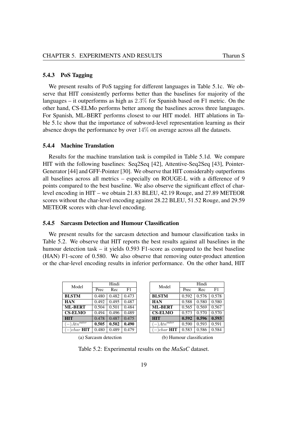#### <span id="page-28-0"></span>5.4.3 PoS Tagging

We present results of PoS tagging for different languages in Table [5.1c.](#page-27-3) We observe that HIT consistently performs better than the baselines for majority of the languages – it outperforms as high as 2.3% for Spanish based on F1 metric. On the other hand, CS-ELMo performs better among the baselines across three languages. For Spanish, ML-BERT performs closest to our HIT model. HIT ablations in Table [5.1c](#page-27-3) show that the importance of subword-level representation learning as their absence drops the performance by over  $14\%$  on average across all the datasets.

#### <span id="page-28-1"></span>5.4.4 Machine Translation

Results for the machine translation task is compiled in Table [5.1d.](#page-27-4) We compare HIT with the following baselines: Seq2Seq [\[42\]](#page-46-8), Attentive-Seq2Seq [\[43\]](#page-46-9), Pointer-Generator [\[44\]](#page-46-10) and GFF-Pointer [\[30\]](#page-45-6). We observe that HIT considerably outperforms all baselines across all metrics – especially on ROUGE-L with a difference of 9 points compared to the best baseline. We also observe the significant effect of charlevel encoding in HIT – we obtain 21.83 BLEU, 42.19 Rouge, and 27.89 METEOR scores without the char-level encoding against 28.22 BLEU, 51.52 Rouge, and 29.59 METEOR scores with char-level encoding.

#### <span id="page-28-2"></span>5.4.5 Sarcasm Detection and Humour Classification

We present results for the sarcasm detection and humour classification tasks in Table [5.2.](#page-28-3) We observe that HIT reports the best results against all baselines in the humour detection task – it yields 0.593 F1-score as compared to the best baseline (HAN) F1-score of 0.580. We also observe that removing outer-product attention or the char-level encoding results in inferior performance. On the other hand, HIT

<span id="page-28-3"></span>

| Model                        |       | Hindi |       | Model                       |
|------------------------------|-------|-------|-------|-----------------------------|
|                              | Prec  | Rec   | F1    |                             |
| <b>BLSTM</b>                 | 0.480 | 0.482 | 0.473 | <b>BLSTM</b>                |
| <b>HAN</b>                   | 0.492 | 0.495 | 0.487 | <b>HAN</b>                  |
| <b>ML-BERT</b>               | 0.504 | 0.501 | 0.484 | <b>ML-BERT</b>              |
| <b>CS-ELMO</b>               | 0.494 | 0.496 | 0.489 | <b>CS-ELMO</b>              |
| <b>HIT</b>                   | 0.478 | 0.487 | 0.475 | <b>HIT</b>                  |
| $(-) \overline{Atn^{outer}}$ | 0.505 | 0.502 | 0.490 | $(-)\overline{Atn^{outer}}$ |
| $(-)$ char <b>HIT</b>        | 0.480 | 0.489 | 0.479 | $(-)$ char <b>HI</b>        |

| Model                        |       | Hindi |       |  |  |  |  |  |
|------------------------------|-------|-------|-------|--|--|--|--|--|
|                              | Prec  | Rec   | F1    |  |  |  |  |  |
| <b>BLSTM</b>                 | 0.592 | 0.576 | 0.578 |  |  |  |  |  |
| <b>HAN</b>                   | 0.588 | 0.580 | 0.580 |  |  |  |  |  |
| <b>ML-BERT</b>               | 0.565 | 0.569 | 0.567 |  |  |  |  |  |
| <b>CS-ELMO</b>               | 0.573 | 0.570 | 0.570 |  |  |  |  |  |
| <b>HIT</b>                   | 0.592 | 0.596 | 0.593 |  |  |  |  |  |
| $\sqrt{-\right)Atn^{outer}}$ | 0.590 | 0.593 | 0.591 |  |  |  |  |  |
| $(-)$ char <b>HIT</b>        | 0.583 | 0.586 | 0.584 |  |  |  |  |  |

(a) Sarcasm detection

(b) Humour classification

Table 5.2: Experimental results on the *MaSaC* dataset.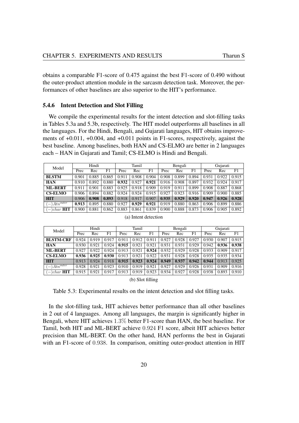obtains a comparable F1-score of 0.475 against the best F1-score of 0.490 without the outer-product attention module in the sarcasm detection task. Moreover, the performances of other baselines are also superior to the HIT's performance.

#### <span id="page-29-0"></span>5.4.6 Intent Detection and Slot Filling

We compile the experimental results for the intent detection and slot-filling tasks in Tables [5.3a](#page-29-2) and [5.3b,](#page-29-3) respectively. The HIT model outperforms all baselines in all the languages. For the Hindi, Bengali, and Gujarati languages, HIT obtains improvements of +0.011, +0.004, and +0.011 points in F1-scores, respectively, against the best baseline. Among baselines, both HAN and CS-ELMO are better in 2 languages each – HAN in Gujarati and Tamil; CS-ELMO is Hindi and Bengali.

<span id="page-29-2"></span><span id="page-29-1"></span>

| Model                                      | Hindi |       |       |       | Tamil |       |       | Bengali |       |       | Gujarati |       |  |
|--------------------------------------------|-------|-------|-------|-------|-------|-------|-------|---------|-------|-------|----------|-------|--|
|                                            | Prec  | Rec   | F1    | Prec  | Rec   | F1    | Prec  | Rec     | F1    | Prec  | Rec      | F1    |  |
| <b>BLSTM</b>                               | 0.901 | 0.885 | 0.865 | 0.911 | 0.908 | 0.904 | 0.908 | 0.899   | 0.894 | 0.931 | 0.922    | 0.915 |  |
| <b>HAN</b>                                 | 0.910 | 0.892 | 0.880 | 0.932 | 0.927 | 0.921 | 0.916 | 0.908   | 0.897 | 0.932 | 0.924    | 0.917 |  |
| <b>ML-BERT</b>                             | 0.911 | 0.901 | 0.883 | 0.925 | 0.918 | 0.909 | 0.919 | 0.911   | 0.899 | 0.908 | 0.887    | 0.868 |  |
| <b>CS-ELMO</b>                             | 0.906 | 0.894 | 0.882 | 0.924 | 0.924 | 0.915 | 0.927 | 0.923   | 0.916 | 0.909 | 0.900    | 0.885 |  |
| <b>HIT</b>                                 | 0.906 | 0.908 | 0.893 | 0.918 | 0.917 | 0.907 | 0.935 | 0.929   | 0.920 | 0.947 | 0.926    | 0.928 |  |
| $At n^{outer}$<br>$\overline{\phantom{m}}$ | 0.913 | 0.895 | 0.880 | 0.927 | 0.929 | 0.921 | 0.919 | 0.880   | 0.863 | 0.906 | 0.899    | 0.886 |  |
| $(-)$ char <b>HIT</b>                      | 0.900 | 0.881 | 0.862 | 0.883 | 0.861 | 0.839 | 0.900 | 0.888   | 0.873 | 0.906 | 0.905    | 0.892 |  |

<span id="page-29-3"></span>

| Model                                                     | Hindi |       |       |       | Tamil |       |       | Bengali |       |       | Gujarati |       |  |
|-----------------------------------------------------------|-------|-------|-------|-------|-------|-------|-------|---------|-------|-------|----------|-------|--|
|                                                           | Prec  | Rec   | F1    | Prec  | Rec   | F1    | Prec  | Rec     | F1    | Prec  | Rec      | F1    |  |
| <b>BLSTM-CRF</b>                                          | 0.924 | 0.919 | 0.917 | 0.911 | 0.912 | 0.911 | 0.927 | 0.928   | 0.927 | 0.930 | 0.907    | 0.915 |  |
| <b>HAN</b>                                                | 0.930 | 0.921 | 0.924 | 0.915 | 0.921 | 0.921 | 0.931 | 0.931   | 0.929 | 0.942 | 0.936    | 0.938 |  |
| <b>ML-BERT</b>                                            | 0.927 | 0.922 | 0.924 | 0.913 | 0.921 | 0.924 | 0.932 | 0.929   | 0.928 | 0.933 | 0.909    | 0.917 |  |
| <b>CS-ELMO</b>                                            | 0.936 | 0.925 | 0.930 | 0.913 | 0.921 | 0.922 | 0.931 | 0.928   | 0.928 | 0.935 | 0.935    | 0.934 |  |
| <b>HIT</b>                                                | 0.913 | 0.924 | 0.918 | 0.915 | 0.923 | 0.924 | 0.949 | 0.937   | 0.942 | 0.944 | 0.913    | 0.925 |  |
| $At n^{\overline{outer}}$<br>$\qquad \qquad$              | 0.928 | 0.921 | 0.923 | 0.910 | 0.919 | 0.921 | 0.927 | 0.929   | 0.926 | 0.931 | 0.909    | 0.916 |  |
| $\chi$ char <b>HIT</b><br>$\hspace{0.1mm}-\hspace{0.1mm}$ | 0.915 | 0.921 | 0.917 | 0.913 | 0.919 | 0.923 | 0.934 | 0.927   | 0.928 | 0.938 | 0.893    | 0.910 |  |

(a) Intent detection

(b) Slot filling

Table 5.3: Experimental results on the intent detection and slot filling tasks.

In the slot-filling task, HIT achieves better performance than all other baselines in 2 out of 4 languages. Among all languages, the margin is significantly higher in Bengali, where HIT achieves 1.3% better F1-score than HAN, the best baseline. For Tamil, both HIT and ML-BERT achieve 0.924 F1 score, albeit HIT achieves better precision than ML-BERT. On the other hand, HAN performs the best in Gujarati with an F1-score of 0.938. In comparison, omitting outer-product attention in HIT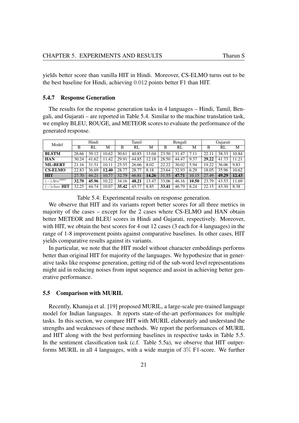yields better score than vanilla HIT in Hindi. Moreover, CS-ELMO turns out to be the best baseline for Hindi, achieving 0.012 points better F1 than HIT.

#### <span id="page-30-0"></span>5.4.7 Response Generation

The results for the response generation tasks in 4 languages – Hindi, Tamil, Bengali, and Gujarati – are reported in Table [5.4.](#page-30-2) Similar to the machine translation task, we employ BLEU, ROUGE, and METEOR scores to evaluate the performance of the generated response.

<span id="page-30-2"></span>

| Model                                 | Hindi |       |       |       | Tamil |       |       | Bengali    |       |       | Gujarati |       |  |
|---------------------------------------|-------|-------|-------|-------|-------|-------|-------|------------|-------|-------|----------|-------|--|
|                                       | B     | RL    | M     | B     | RL    | М     | B     | RL         | М     | B     | RL       | M     |  |
| <b>BLSTM</b>                          | 26.66 | 39.12 | 10.62 | 30.61 | 40.85 | 13.04 | 23.50 | 31.<br>.47 | 7.11  | 22.11 | 38.33    | 10.84 |  |
| <b>HAN</b>                            | 30.24 | 41.62 | 11.42 | 29.91 | 44.85 | 12.18 | 28.50 | 44.47      | 9.37  | 29.22 | 41.73    | 11.21 |  |
| <b>ML-BERT</b>                        | 21.16 | 31.51 | 10.11 | 25.55 | 26.66 | 8.02  | 22.22 | 30.02      | 5.94  | 19.22 | 36.06    | 9.83  |  |
| <b>CS-ELMO</b>                        | 22.83 | 36.69 | 12.40 | 28.77 | 28.77 | 8.18  | 23.64 | 32.93      | 6.29  | 18.05 | 35.96    | 10.62 |  |
| <b>HIT</b>                            | 27.70 | 44.21 | 10.77 | 32.79 | 46.81 | 14.26 | 31.55 | 47.71      | 10.15 | 27.49 | 49.29    | 12.43 |  |
| $A_{tn}^{outer}$<br>$\qquad \qquad -$ | 32.70 | 45.96 | 10.22 | 34.16 | 48.21 | 13.47 | 33.06 | 46.16      | 10.50 | 23.79 | 43.53    | 11.69 |  |
| $(-)$ char <b>HIT</b>                 | 32.25 | 44.74 | 10.07 | 35.42 | 45.77 | 8.85  | 33.41 | 46.79      | 8.24  | 22.15 | 43.30    | 8.38  |  |

Table 5.4: Experimental results on response generation.

We observe that HIT and its variants report better scores for all three metrics in majority of the cases – except for the 2 cases where CS-ELMO and HAN obtain better METEOR and BLEU scores in Hindi and Gujarati, respectively. Moreover, with HIT, we obtain the best scores for 4 out 12 cases (3 each for 4 languages) in the range of 1-8 improvement points against comparative baselines. In other cases, HIT yields comparative results against its variants.

In particular, we note that the HIT model without character embeddings performs better than original HIT for majority of the languages. We hypothesize that in generative tasks like response generation, getting rid of the sub-word level representations might aid in reducing noises from input sequence and assist in achieving better generative performance.

#### <span id="page-30-1"></span>5.5 Comparison with MURIL

Recently, Khanuja et al. [\[19\]](#page-44-7) proposed MURIL, a large-scale pre-trained language model for Indian languages. It reports state-of-the-art performances for multiple tasks. In this section, we compare HIT with MURIL elaborately and understand the strengths and weaknesses of these methods. We report the performances of MURIL and HIT along with the best performing baselines in respective tasks in Table [5.5.](#page-31-0) In the sentiment classification task (c.f. Table [5.5a\)](#page-31-1), we observe that HIT outperforms MURIL in all 4 languages, with a wide margin of  $3\%$  F1-score. We further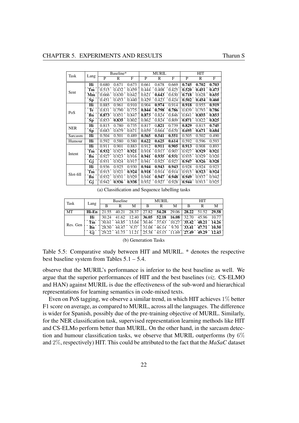<span id="page-31-1"></span><span id="page-31-0"></span>

| Task       |      |       | Baseline* |       |                           | <b>MURIL</b>        |       |       | HIT          |               |  |
|------------|------|-------|-----------|-------|---------------------------|---------------------|-------|-------|--------------|---------------|--|
|            | Lang | P     | R         | F     | P                         | R                   | F     | P     | $\mathbb{R}$ | F             |  |
|            | Hi   | 0.680 | 0.671     | 0.673 | 0.661                     | 0.678               | 0.669 | 0.745 | 0.702        | 0.703         |  |
| Sent       | Tm   | 0.515 | 0.432     | 0.459 | 0.444                     | 0.408               | 0.425 | 0.520 | 0.451        | 0.473         |  |
|            | Mm   | 0.666 | 0.630     | 0.642 | 0.621                     | 0.643               | 0.630 | 0.718 | 0.628        | 0.655         |  |
|            | Sp   | 0.451 | 0.453     | 0.440 | 0.429                     | 0.423               | 0.424 | 0.502 | 0.454        | 0.460         |  |
|            | Hi   | 0.885 | 0.961     | 0.910 | 0.904                     | 0.974               | 0.914 | 0.918 | 0.955        | 0.919         |  |
| PoS        | Te   | 0.831 | 0.790     | 0.775 | 0.844                     | 0.798               | 0.786 | 0.839 | 0.793        | 0.786         |  |
|            | Bn   | 0.873 | 0.851     | 0.847 | 0.873                     | 0.824               | 0.846 | 0.841 | 0.855        | 0.853         |  |
|            | Šр   | 0.853 | 0.835     | 0.802 | 0.862                     | $0.\overline{824}$  | 0.809 | 0.871 | 0.822        | 0.825         |  |
| <b>NER</b> | Hi   | 0.815 | 0.780     | 0.735 | 0.817                     | 0.821               | 0.739 | 0.829 | 0.815        | 0.745         |  |
|            | Sp   | 0.683 | 0.679     | 0.671 | 0.659                     | 0.664               | 0.670 | 0.695 | 0.671        | 0.684         |  |
| Sarcasm    | Hi   | 0.504 | 0.501     | 0.489 | 0.565                     | 0.541               | 0.551 | 0.505 | 0.502        | 0.490         |  |
| Humour     | Hi   | 0.592 | 0.580     | 0.580 | 0.622                     | 0.625               | 0.614 | 0.592 | 0.596        | 0.593         |  |
|            | Hi   | 0.911 | 0.901     | 0.883 | 0.912                     | 0.911               | 0.905 | 0.913 | 0.908        | 0.893         |  |
| Intent     | Tm   | 0.932 | 0.927     | 0.921 | 0.918                     | 0.917               | 0.907 | 0.927 | 0.929        | 0.921         |  |
|            | Bn   | 0.927 | 0.923     | 0.916 | $\bar{0}.\bar{9}\bar{4}1$ | 0.935               | 0.931 | 0.935 | 0.929        | $\bar{0.920}$ |  |
|            | Ġj   | 0.931 | 0.924     | 0.917 | 0.941                     | 0.925               | 0.927 | 0.947 | 0.926        | 0.928         |  |
|            | Hi   | 0.936 | 0.925     | 0.930 | 0.944                     | 0.943               | 0.943 | 0.928 | 0.924        | 0.923         |  |
| Slot-fill  | Tm   | 0.915 | 0.921     | 0.924 | 0.918                     | $\bar{0}.\bar{9}14$ | 0.914 | 0.915 | 0.923        | 0.924         |  |
|            | Bn   | 0.932 | 0.931     | 0.929 | 0.948                     | 0.947               | 0.948 | 0.949 | 0.937        | 0.942         |  |
|            | Ĝj   | 0.942 | 0.936     | 0.938 | 0.932                     | 0.927               | 0.928 | 0.944 | 0.913        | 0.925         |  |

(a) Classification and Sequence labelling tasks

<span id="page-31-2"></span>

| <b>Task</b> |       | <b>Baseline</b> |       |       | <b>MURIL</b> |             |       | <b>HIT</b> |       |       |
|-------------|-------|-----------------|-------|-------|--------------|-------------|-------|------------|-------|-------|
|             | Lang  |                 | R     | M     | в            | R           | М     | B          |       | м     |
| MT          | Hi-En | 21.55           | 40.21 | 28.37 |              | 27.82 54.28 | 29.06 | 28.22      | 51.52 | 29.58 |
|             | Hi    | 30.24           | 41.62 | 12.40 | 36.05        | 52.18       | 16.08 | 32.70      | 45.96 | 10.77 |
| Res. Gen    | Tm    | 30.61           | 44.85 | 13.04 | 30.46        | 37.63       | 10.27 | 35.42      | 48.21 | 14.26 |
|             | Bn    | 28.50           | 44.47 | 9.37  | 31.08        | 46.14       | 9.70  | 33.41      | 47.71 | 10.50 |
|             | Gi    | 29.22           |       |       | 25.38        | 43.15       | .69   | 27.49      | 49.29 |       |

| (b) Generation Tasks |  |
|----------------------|--|
|----------------------|--|

Table 5.5: Comparative study between HIT and MURIL. \* denotes the respective best baseline system from Tables [5.1](#page-27-0) – [5.4.](#page-30-2)

observe that the MURIL's performance is inferior to the best baseline as well. We argue that the superior performances of HIT and the best baselines (*viz.* CS-ELMO and HAN) against MURIL is due the effectiveness of the sub-word and hierarchical representations for learning semantics in code-mixed texts.

Even on PoS tagging, we observe a similar trend, in which HIT achieves 1% better F1 score on average, as compared to MURIL, across all the languages. The difference is wider for Spanish, possibly due of the pre-training objective of MURIL. Similarly, for the NER classification task, supervised representation learning methods like HIT and CS-ELMo perform better than MURIL. On the other hand, in the sarcasm detection and humour classification tasks, we observe that MURIL outperforms (by 6% and 2%, respectively) HIT. This could be attributed to the fact that the *MaSaC* dataset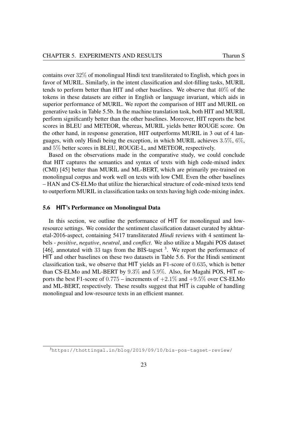contains over 32% of monolingual Hindi text transliterated to English, which goes in favor of MURIL. Similarly, in the intent classification and slot-filling tasks, MURIL tends to perform better than HIT and other baselines. We observe that 40% of the tokens in these datasets are either in English or language invariant, which aids in superior performance of MURIL. We report the comparison of HIT and MURIL on generative tasks in Table [5.5b.](#page-31-2) In the machine translation task, both HIT and MURIL perform significantly better than the other baselines. Moreover, HIT reports the best scores in BLEU and METEOR, whereas, MURIL yields better ROUGE score. On the other hand, in response generation, HIT outperforms MURIL in 3 out of 4 languages, with only Hindi being the exception, in which MURIL achieves 3.5%, 6%, and 5% better scores in BLEU, ROUGE-L, and METEOR, respectively.

Based on the observations made in the comparative study, we could conclude that HIT captures the semantics and syntax of texts with high code-mixed index (CMI) [\[45\]](#page-46-11) better than MURIL and ML-BERT, which are primarily pre-trained on monolingual corpus and work well on texts with low CMI. Even the other baselines – HAN and CS-ELMo that utilize the hierarchical structure of code-mixed texts tend to outperform MURIL in classification tasks on texts having high code-mixing index.

#### <span id="page-32-0"></span>5.6 **HIT**'s Performance on Monolingual Data

In this section, we outline the performance of HIT for monolingual and lowresource settings. We consider the sentiment classification dataset curated by akhtaretal-2016-aspect, containing 5417 transliterated *Hindi* reviews with 4 sentiment labels - *positive*, *negative*, *neutral*, and *conflict*. We also utilize a Magahi POS dataset [\[46\]](#page-47-0), annotated with [3](#page-32-1)3 tags from the BIS-tagset<sup>3</sup>. We report the performance of HIT and other baselines on these two datasets in Table [5.6.](#page-33-0) For the Hindi sentiment classification task, we observe that HIT yields an F1-score of 0.635, which is better than CS-ELMo and ML-BERT by 9.3% and 5.9%. Also, for Magahi POS, HIT reports the best F1-score of  $0.775$  – increments of  $+2.1\%$  and  $+9.5\%$  over CS-ELMo and ML-BERT, respectively. These results suggest that HIT is capable of handling monolingual and low-resource texts in an efficient manner.

<span id="page-32-1"></span><sup>3</sup><https://thottingal.in/blog/2019/09/10/bis-pos-tagset-review/>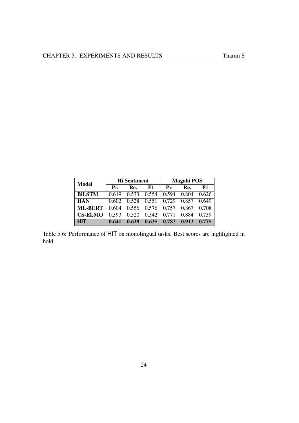<span id="page-33-0"></span>

| Model          |       | <b>Hi</b> Sentiment |       | <b>Magahi POS</b> |       |       |  |  |
|----------------|-------|---------------------|-------|-------------------|-------|-------|--|--|
|                | Pr.   | Re.                 | F1    | Pr.               | Re.   | F1    |  |  |
| <b>BILSTM</b>  | 0.619 | 0.533               | 0.554 | 0.594             | 0.804 | 0.626 |  |  |
| <b>HAN</b>     | 0.602 | 0.528               | 0.551 | 0.729             | 0.857 | 0.649 |  |  |
| <b>ML-BERT</b> | 0.604 | 0.556               | 0.576 | 0.757             | 0.867 | 0.708 |  |  |
| <b>CS-ELMO</b> | 0.593 | 0.520               | 0.542 | 0.771             | 0.884 | 0.759 |  |  |
| <b>HIT</b>     | 0.641 | 0.629               | 0.635 | 0.783             | 0.913 | 0.775 |  |  |

Table 5.6: Performance of HIT on monolingual tasks. Best scores are highlighted in bold.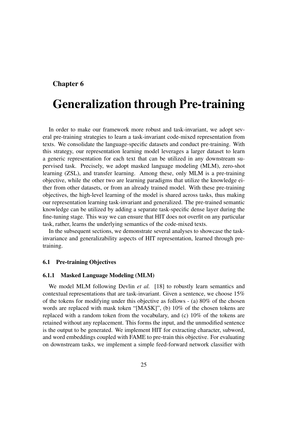### <span id="page-34-0"></span>Chapter 6

# Generalization through Pre-training

In order to make our framework more robust and task-invariant, we adopt several pre-training strategies to learn a task-invariant code-mixed representation from texts. We consolidate the language-specific datasets and conduct pre-training. With this strategy, our representation learning model leverages a larger dataset to learn a generic representation for each text that can be utilized in any downstream supervised task. Precisely, we adopt masked language modeling (MLM), zero-shot learning (ZSL), and transfer learning. Among these, only MLM is a pre-training objective, while the other two are learning paradigms that utilize the knowledge either from other datasets, or from an already trained model. With these pre-training objectives, the high-level learning of the model is shared across tasks, thus making our representation learning task-invariant and generalized. The pre-trained semantic knowledge can be utilized by adding a separate task-specific dense layer during the fine-tuning stage. This way we can ensure that HIT does not overfit on any particular task, rather, learns the underlying semantics of the code-mixed texts.

In the subsequent sections, we demonstrate several analyses to showcase the taskinvariance and generalizability aspects of HIT representation, learned through pretraining.

#### <span id="page-34-1"></span>6.1 Pre-training Objectives

#### <span id="page-34-2"></span>6.1.1 Masked Language Modeling (MLM)

We model MLM following Devlin *et al.* [\[18\]](#page-44-6) to robustly learn semantics and contextual representations that are task-invariant. Given a sentence, we choose 15% of the tokens for modifying under this objective as follows - (a) 80% of the chosen words are replaced with mask token "[MASK]", (b) 10% of the chosen tokens are replaced with a random token from the vocabulary, and (c) 10% of the tokens are retained without any replacement. This forms the input, and the unmodified sentence is the output to be generated. We implement HIT for extracting character, subword, and word embeddings coupled with FAME to pre-train this objective. For evaluating on downstream tasks, we implement a simple feed-forward network classifier with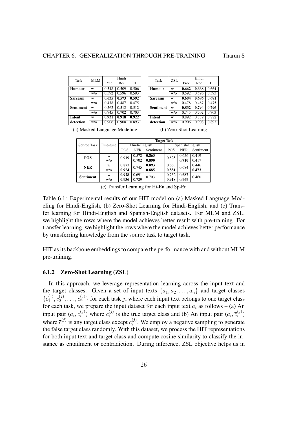<span id="page-35-2"></span><span id="page-35-1"></span>

| Task             | MLM    | Hindi |       |       |  |  |  |
|------------------|--------|-------|-------|-------|--|--|--|
|                  |        | Prec  | Rec   | F1    |  |  |  |
| <b>Humour</b>    | W      | 0.548 | 0.509 | 0.506 |  |  |  |
|                  | w/o    | 0.592 | 0.596 | 0.593 |  |  |  |
| <b>Sarcasm</b>   | W      | 0.635 | 0.573 | 0.592 |  |  |  |
|                  | $W$ /0 | 0.478 | 0.487 | 0.475 |  |  |  |
| <b>Sentiment</b> | W      | 0.562 | 0.512 | 0.512 |  |  |  |
|                  | W/0    | 0.745 | 0.702 | 0.703 |  |  |  |
| <b>Intent</b>    | W      | 0.931 | 0.918 | 0.922 |  |  |  |
| detection        | $W$ /0 | 0.906 | 0.908 | 0.893 |  |  |  |

<span id="page-35-3"></span>

| Task             | <b>ZSL</b> | Hindi |       |       |  |  |  |
|------------------|------------|-------|-------|-------|--|--|--|
|                  |            | Prec  | Rec   | F1    |  |  |  |
| <b>Humour</b>    | W          | 0.662 | 0.668 | 0.664 |  |  |  |
|                  | w/o        | 0.592 | 0.596 | 0.593 |  |  |  |
| <b>Sarcasm</b>   | W          | 0.684 | 0.696 | 0.681 |  |  |  |
|                  | w/o        | 0.478 | 0.487 | 0.475 |  |  |  |
| <b>Sentiment</b> | W          | 0.832 | 0.794 | 0.796 |  |  |  |
|                  | w/o        | 0.745 | 0.702 | 0.703 |  |  |  |
| Intent           | W          | 0.892 | 0.889 | 0.882 |  |  |  |
| detection        | w/o        | 0.906 | 0.908 | 0.893 |  |  |  |

(a) Masked Language Modeling

(b) Zero-Shot Learning

<span id="page-35-4"></span>

|                  |           | Target Task    |               |           |       |                 |           |  |  |  |
|------------------|-----------|----------------|---------------|-----------|-------|-----------------|-----------|--|--|--|
| Source Task      | Fine-tune |                | Hindi-English |           |       | Spanish-English |           |  |  |  |
|                  |           | POS            | <b>NER</b>    | Sentiment | POS   | <b>NER</b>      | Sentiment |  |  |  |
| POS              | W         | 0.919          | 0.578         | 0.863     | 0.825 | 0.656           | 0.419     |  |  |  |
|                  | W/O       |                | 0.702         | 0.890     |       | 0.710           | 0.417     |  |  |  |
| <b>NER</b>       | W         | 0.873          | 0.745         | 0.893     | 0.663 | 0.684           | 0.446     |  |  |  |
|                  | W/O       | 0.924          |               | 0.885     | 0.881 |                 | 0.473     |  |  |  |
| <b>Sentiment</b> | W         | 0.928          | 0.691         | 0.703     | 0.732 | 0.687           | 0.460     |  |  |  |
|                  | w/o       | 0.729<br>0.936 |               |           | 0.918 | 0.969           |           |  |  |  |

(c) Transfer Learning for Hi-En and Sp-En

Table 6.1: Experimental results of our HIT model on (a) Masked Language Modeling for Hindi-English, (b) Zero-Shot Learning for Hindi-English, and (c) Transfer learning for Hindi-English and Spanish-English datasets. For MLM and ZSL, we highlight the rows where the model achieves better result with pre-training. For transfer learning, we highlight the rows where the model achieves better performance by transferring knowledge from the source task to target task.

HIT as its backbone embeddings to compare the performance with and without MLM pre-training.

#### <span id="page-35-0"></span>6.1.2 Zero-Shot Learning (ZSL)

In this approach, we leverage representation learning across the input text and the target classes. Given a set of input texts  $\{a_1, a_2, \ldots, a_n\}$  and target classes  $\{c_1^{(j)}\}$  $c_1^{(j)}, c_2^{(j)}$  $\{a_2^{(j)}, \ldots, a_n^{(j)}\}$  for each task j, where each input text belongs to one target class for each task, we prepare the input dataset for each input text  $a_i$  as follows – (a) An input pair  $(a_i, c_i^{(j)})$  $i_j^{(j)}$ ) where  $c_i^{(j)}$  $i_j^{(j)}$  is the true target class and (b) An input pair  $(a_i, \bar{c}_i^{(j)})$  $\binom{(J)}{i}$ where  $\overline{c}_i^{(j)}$  $\epsilon_i^{(j)}$  is any target class except  $c_i^{(j)}$  $i^{(j)}$ . We employ a negative sampling to generate the false target class randomly. With this dataset, we process the HIT representations for both input text and target class and compute cosine similarity to classify the instance as entailment or contradiction. During inference, ZSL objective helps us in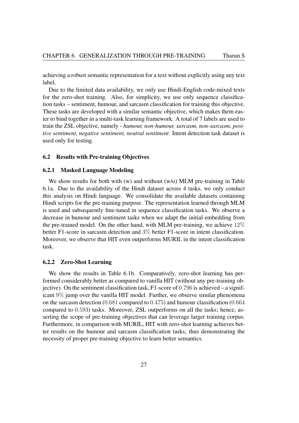achieving a robust semantic representation for a text without explicitly using any text label.

Due to the limited data availability, we only use Hindi-English code-mixed texts for the zero-shot training. Also, for simplicity, we use only sequence classification tasks – sentiment, humour, and sarcasm classification for training this objective. These tasks are developed with a similar semantic objective, which makes them easier to bind together in a multi-task learning framework. A total of 7 labels are used to train the ZSL objective, namely - *humour, non-humour, sarcasm, non-sarcasm, positive sentiment, negative sentiment, neutral sentiment*. Intent detection task dataset is used only for testing.

#### <span id="page-36-0"></span>6.2 Results with Pre-training Objectives

#### <span id="page-36-1"></span>6.2.1 Masked Language Modeling

We show results for both with (w) and without (w/o) MLM pre-training in Table [6.1a.](#page-35-2) Due to the availability of the Hindi dataset across 4 tasks, we only conduct this analysis on Hindi language. We consolidate the available datasets containing Hindi scripts for the pre-training purpose. The representation learned through MLM is used and subsequently fine-tuned in sequence classification tasks. We observe a decrease in humour and sentiment tasks when we adapt the initial embedding from the pre-trained model. On the other hand, with MLM pre-training, we achieve 12% better F1-score in sarcasm detection and 3% better F1-score in intent classification. Moreover, we observe that HIT even outperforms MURIL in the intent classification task.

#### <span id="page-36-2"></span>6.2.2 Zero-Shot Learning

We show the results in Table [6.1b.](#page-35-3) Comparatively, zero-shot learning has performed considerably better as compared to vanilla HIT (without any pre-training objective). On the sentiment classification task, F1-score of 0.796 is achieved – a significant 9% jump over the vanilla HIT model. Further, we observe similar phenomena on the sarcasm detection (0.681 compared to 0.475) and humour classification (0.664 compared to 0.593) tasks. Moreover, ZSL outperforms on all the tasks; hence, asserting the scope of pre-training objectives that can leverage larger training corpus. Furthermore, in comparison with MURIL, HIT with zero-shot learning achieves better results on the humour and sarcasm classification tasks; thus demonstrating the necessity of proper pre-training objective to learn better semantics.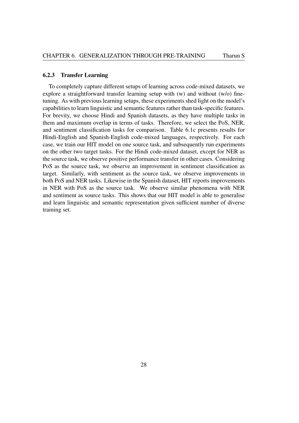#### <span id="page-37-0"></span>6.2.3 Transfer Learning

To completely capture different setups of learning across code-mixed datasets, we explore a straightforward transfer learning setup with (w) and without (w/o) finetuning. As with previous learning setups, these experiments shed light on the model's capabilities to learn linguistic and semantic features rather than task-specific features. For brevity, we choose Hindi and Spanish datasets, as they have multiple tasks in them and maximum overlap in terms of tasks. Therefore, we select the PoS, NER, and sentiment classification tasks for comparison. Table [6.1c](#page-35-4) presents results for Hindi-English and Spanish-English code-mixed languages, respectively. For each case, we train our HIT model on one source task, and subsequently run experiments on the other two target tasks. For the Hindi code-mixed dataset, except for NER as the source task, we observe positive performance transfer in other cases. Considering PoS as the source task, we observe an improvement in sentiment classification as target. Similarly, with sentiment as the source task, we observe improvements in both PoS and NER tasks. Likewise in the Spanish dataset, HIT reports improvements in NER with PoS as the source task. We observe similar phenomena with NER and sentiment as source tasks. This shows that our HIT model is able to generalise and learn linguistic and semantic representation given sufficient number of diverse training set.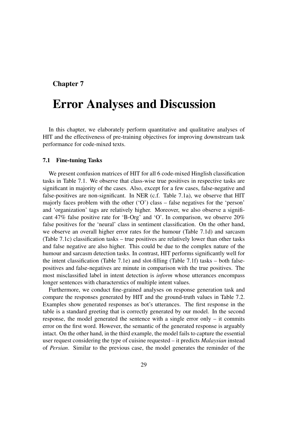### <span id="page-38-0"></span>Chapter 7

## Error Analyses and Discussion

In this chapter, we elaborately perform quantitative and qualitative analyses of HIT and the effectiveness of pre-training objectives for improving downstream task performance for code-mixed texts.

#### <span id="page-38-1"></span>7.1 Fine-tuning Tasks

We present confusion matrices of HIT for all 6 code-mixed Hinglish classification tasks in Table [7.1.](#page-39-0) We observe that class-wise true positives in respective tasks are significant in majority of the cases. Also, except for a few cases, false-negative and false-positives are non-significant. In NER (c.f. Table [7.1a\)](#page-39-1), we observe that HIT majorly faces problem with the other ('O') class – false negatives for the 'person' and 'organization' tags are relatively higher. Moreover, we also observe a significant 47% false positive rate for 'B-Org' and 'O'. In comparison, we observe 20% false positives for the 'neural' class in sentiment classification. On the other hand, we observe an overall higher error rates for the humour (Table [7.1d\)](#page-39-2) and sarcasm (Table [7.1c\)](#page-39-3) classification tasks – true positives are relatively lower than other tasks and false negative are also higher. This could be due to the complex nature of the humour and sarcasm detection tasks. In contrast, HIT performs significantly well for the intent classification (Table [7.1e\)](#page-39-4) and slot-filling (Table [7.1f\)](#page-39-5) tasks – both falsepositives and false-negatives are minute in comparison with the true positives. The most misclassified label in intent detection is *inform* whose utterances encompass longer sentences with characterstics of multiple intent values.

Furthermore, we conduct fine-grained analyses on response generation task and compare the responses generated by HIT and the ground-truth values in Table [7.2.](#page-40-2) Examples show generated responses as bot's utterances. The first response in the table is a standard greeting that is correctly generated by our model. In the second response, the model generated the sentence with a single error only – it commits error on the first word. However, the semantic of the generated response is arguably intact. On the other hand, in the third example, the model fails to capture the essential user request considering the type of cuisine requested – it predicts *Malaysian* instead of *Persian*. Similar to the previous case, the model generates the reminder of the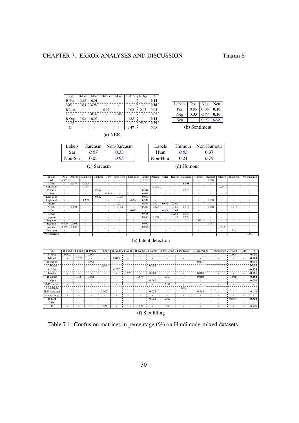<span id="page-39-1"></span><span id="page-39-0"></span>

| <b>Tags</b> | B-Per   I-Per |      | B-Loc   I-Loc |                          | B-Org I-Org |      | O                        |  |
|-------------|---------------|------|---------------|--------------------------|-------------|------|--------------------------|--|
| $B-Per$     | 0.85          | 0.01 |               |                          |             |      | 0.14                     |  |
| I-Per       | 0.03          | 0.87 |               |                          |             |      | 0.10                     |  |
| B-Loc       |               |      | 0.92          |                          | 0.02        | 0.02 | 0.05                     |  |
| I-Loc       |               | 0.08 |               | 0.85                     |             |      | 0.07                     |  |
| B-Org       | 0.02          | 0.02 |               | $\overline{\phantom{0}}$ | 0.82        |      | 0.14                     |  |
| $I-Org$     |               |      |               |                          |             | 0.71 | $\bar{0}.\bar{2}\bar{9}$ |  |
| Ω           |               |      |               |                          | 0.47        |      | 0.53                     |  |
| (a) NER     |               |      |               |                          |             |      |                          |  |

<span id="page-39-3"></span>

| Labels  |      | Sarcasm   Non-Sarcasm |
|---------|------|-----------------------|
| Sar     | 0.67 | 0.33                  |
| Non-Sar | 0.05 | 0.95                  |

<span id="page-39-2"></span>

| Labels  | Humour | Non-Humour |
|---------|--------|------------|
| Hum     | 0.63   | 0.37       |
| Non-Hum | 0.21   | 0.79       |

Labels | Pos | Neg | Neu Pos  $\begin{array}{|c|c|c|c|c|} \hline 0.85 & 0.05 & \textbf{0.10} \ \hline \end{array}$ Pos 0.85 0.05 **0.10**<br>Neg 0.03 0.87 **0.10**<br>Neu - 0.02 0.98  $0.02$ 

(b) Sentiment

(d) Humour

<span id="page-39-4"></span>

|            |        | Affirm                   |                          | Confirm                  |                              |                          |                          | Inform                   |                          | Offer                    |        |          |         |                          | Silence                  |                          |            |
|------------|--------|--------------------------|--------------------------|--------------------------|------------------------------|--------------------------|--------------------------|--------------------------|--------------------------|--------------------------|--------|----------|---------|--------------------------|--------------------------|--------------------------|------------|
| Intent     | Ack    |                          | Cant.help                |                          | Deny                         | Expl-conf                | Impl-conf                |                          | Negate                   |                          | Repeat | Requalts | Reqmore | Request                  |                          | Thankyou                 | Welcomemsg |
| Ack        | 0.962  | $\overline{\phantom{a}}$ | <b>.</b>                 | $\sim$                   | $\overline{\phantom{a}}$     | ۰.                       | $\overline{\phantom{a}}$ | 0.02                     | ۰                        | ۰.                       | -      | -        | ۰.      | 0.018                    | ۰                        |                          |            |
| Affirm     | $\sim$ | 0.877                    | 0.015                    | $\overline{\phantom{a}}$ | $\overline{\phantom{a}}$     | ۰.                       | $\overline{\phantom{a}}$ | <b>1999</b>              | $\overline{\phantom{a}}$ | $\overline{\phantom{a}}$ | ۰      | 0.108    | ۰       | ۰.                       | ۰                        | <b>.</b>                 |            |
| Cant.help  | $\sim$ | $\overline{\phantom{a}}$ | 0.997                    | $\sim$                   | $\overline{\phantom{a}}$     |                          | ۰                        | <b>1999</b>              | 0.002                    | $\sim$                   | -      |          | ٠       | $\overline{\phantom{a}}$ | 0.001                    | <b>.</b>                 |            |
| Confirm    | . .    | <b>.</b>                 | <b>.</b>                 | 0.687                    | ۰                            | $\overline{\phantom{a}}$ | $\overline{\phantom{a}}$ | 0.297                    | $\sim$                   | ۰.                       | ٠      | 0.016    | ٠       | $\overline{\phantom{a}}$ | ۰                        | <b>.</b>                 |            |
| Deny       | ۰      | $\overline{\phantom{a}}$ |                          | $\overline{\phantom{a}}$ | 0.909                        | $\overline{\phantom{a}}$ | $\overline{\phantom{a}}$ | 0.091                    | $\overline{\phantom{a}}$ |                          | ٠      | -        | ٠       | $\overline{\phantom{a}}$ | ۰                        | <b>.</b>                 |            |
| Expl-conf  | $\sim$ | $\overline{\phantom{a}}$ | $\overline{\phantom{a}}$ | 0.002                    | $\overline{\phantom{a}}$     | 0.989                    | $\sim$                   | 0.009                    | $\overline{\phantom{a}}$ |                          | ۰      |          | -       | $\overline{\phantom{a}}$ | ۰                        |                          |            |
| Impl-conf  | $\sim$ | $\overline{\phantom{a}}$ | 0.239                    | $\overline{\phantom{a}}$ | $\overline{\phantom{a}}$     | $\overline{\phantom{a}}$ | 0.474                    | 0.279                    | ۰.                       | ۰.                       | -      | -        | ٠       | 0.008                    | ۰                        | -                        | ٠          |
| Inform     | $\sim$ | <b>.</b>                 | <b>.</b>                 | $\sim$                   | $\overline{\phantom{a}}$     | 0.018                    | $\sim$                   | 0.979                    | 0.001                    | 0.001                    | 0.001  | ۰.       | ٠       | ۰.                       | ۰                        |                          |            |
| Negate     | $\sim$ | 0.024                    | <b>.</b>                 | $\overline{\phantom{a}}$ | $\overline{\phantom{a}}$     | 0.024                    | $\sim$                   | 0.280                    | 0.512                    | $\sim$                   | 0.085  | 0.012    | ۰       | 0.048                    | ٠                        | 0.015                    |            |
| Offer      |        | <b>.</b>                 | <b>.</b>                 | $\overline{\phantom{a}}$ | $\qquad \qquad \blacksquare$ | $\overline{\phantom{a}}$ | 0.017                    | <b>1999</b>              | $\sim$                   | 0.979                    | 0.004  |          | ٠       | $\overline{\phantom{a}}$ | ۰                        |                          |            |
| Repeat     | $\sim$ | $\overline{\phantom{a}}$ |                          | $\overline{\phantom{a}}$ | ٠                            | $\overline{\phantom{a}}$ | $\sim$                   | 0.698                    | $\sim$                   |                          | 0.262  | 0.040    | ٠       | $\overline{\phantom{a}}$ | ۰                        |                          |            |
| Requalts   | ۰      | $\overline{\phantom{a}}$ |                          | $\overline{\phantom{a}}$ | $\qquad \qquad \blacksquare$ | $\overline{\phantom{a}}$ | $\sim$                   | 0.090                    | 0.020                    | ٠                        | 0.017  | 0.873    | ۰       | $\overline{\phantom{a}}$ | ۰                        | $\overline{\phantom{a}}$ |            |
| Reqmore    | $\sim$ | $\overline{\phantom{a}}$ | <b>.</b>                 | $\overline{\phantom{a}}$ | ٠                            | -                        | $\overline{\phantom{a}}$ | $\sim$                   | $\overline{\phantom{a}}$ |                          |        | ۰.       | 1.00    | ۰.                       | ۰                        |                          |            |
| Request    | 0.009  | 0.005                    | $\overline{\phantom{a}}$ | $\overline{\phantom{a}}$ |                              |                          | $\overline{\phantom{a}}$ | 0.039                    | $\overline{\phantom{a}}$ | ۰.                       | -      | -        | ۰       | 0.947                    | ۰                        |                          |            |
| Silence    | 0.055  | 0.035                    | <b>.</b>                 | $\sim$                   | $\sim$                       |                          | $\overline{\phantom{a}}$ | 0.096                    | $\sim$                   | ۰.                       | -      | -        | ۰       | $\overline{\phantom{a}}$ | 0.814                    | <b>.</b>                 |            |
| Thankyou   | ۰      | $\overline{\phantom{a}}$ |                          | $\overline{\phantom{a}}$ | $\overline{\phantom{a}}$     | $\overline{\phantom{a}}$ | $\overline{\phantom{a}}$ | $\overline{\phantom{a}}$ | $\overline{\phantom{a}}$ |                          | ۰      |          | ٠       | $\overline{\phantom{a}}$ | ٠                        | 1.00                     |            |
| Welcomemsg |        | $\overline{\phantom{a}}$ |                          | $\overline{\phantom{a}}$ | $\qquad \qquad \blacksquare$ | $\overline{\phantom{a}}$ | $\overline{\phantom{a}}$ | $\overline{\phantom{a}}$ | $\overline{\phantom{a}}$ |                          | ۰      |          | ۰       | $\overline{\phantom{a}}$ | $\overline{\phantom{a}}$ |                          | 1.00       |

#### (e) Intent detection

<span id="page-39-5"></span>

| Slot                | B-Food I-Food |       | B-Phone I-Phone |       | B-Addr i I-Addr |       | B-Name I-Name            |       | B-Postcode i I-Postcode  |      | <b>B-Pricerange</b>      | I-Pricerange B-Slot |           | $I-Slot$ | $\Omega$ |
|---------------------|---------------|-------|-----------------|-------|-----------------|-------|--------------------------|-------|--------------------------|------|--------------------------|---------------------|-----------|----------|----------|
| B-Food              | 0.962         |       | 0.004           |       |                 |       |                          |       |                          |      |                          |                     | 0.004     |          | 0.030    |
| I-Food              |               | 0.877 |                 | ۰     | 0.013           |       |                          |       |                          |      |                          |                     |           |          | 0.110    |
| <b>B-Phone</b>      |               |       | 0.996           |       |                 |       |                          |       |                          |      | 0.001                    |                     |           |          | 0.003    |
| I-Phone             |               |       |                 | 0.990 |                 |       |                          | 0.001 |                          |      |                          |                     |           |          | 0.009    |
| B-Addr              |               |       |                 |       | 0.777           |       |                          |       |                          |      | $\overline{\phantom{a}}$ |                     |           |          | 0.223    |
| I-Addr              |               |       |                 |       |                 | 0.820 | -                        | 0.001 |                          |      | 0.018                    |                     |           |          | 0.161    |
| <b>B-Name</b>       | $\sim$        | 0.020 | 0.010           |       |                 |       | 0.678                    | ۰     | 0.010                    |      | 0.010                    |                     | 0.010     |          | 0.262    |
| I-Name              |               |       |                 |       |                 |       | $\overline{\phantom{a}}$ | 0.990 | $\overline{\phantom{a}}$ |      | <b>.</b>                 |                     |           |          | 0.010    |
| <b>B-Postcode</b>   |               |       |                 |       |                 |       |                          |       | 1.00                     |      |                          |                     |           |          |          |
| I-Postcode          |               |       |                 |       |                 |       |                          |       |                          | 1.00 |                          |                     |           |          |          |
| <b>B-Pricerange</b> |               |       |                 | 0.002 |                 |       |                          | 0.024 |                          |      | 0.834                    |                     |           |          | 0.140    |
| I-Pricerange        |               |       |                 | -     |                 |       |                          |       |                          |      | ۰.                       |                     | ۰         |          |          |
| <b>B-Slot</b>       |               |       |                 |       |                 |       |                          | 0.021 | 0.002                    |      |                          |                     | $0.667 -$ |          | 0.310    |
| I-Slot              |               |       |                 |       |                 |       |                          |       |                          |      |                          |                     |           |          |          |
| $\circ$             |               |       | 0.01            | 0.021 |                 | 0.012 | 0.024                    | ۰     | 0.033                    |      |                          |                     |           |          | 0.900    |

(f) Slot filling

Table 7.1: Confusion matrices in percentage (%) on Hindi code-mixed datasets.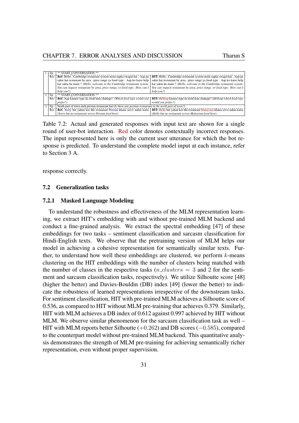<span id="page-40-2"></span>

| 1/p                                       | ** START_CONVERSATION **                                                                                   |                                                                                                                                                            |
|-------------------------------------------|------------------------------------------------------------------------------------------------------------|------------------------------------------------------------------------------------------------------------------------------------------------------------|
| Res                                       | Ref: Hello, Cambridge restaurant system mein aapka swagat hai. Aap pa                                      | HIT: Hello, Cambridge restaurant system mein aapka swagat hai. Aap pa                                                                                      |
|                                           | sakte hai restaurant by area, price range ya food type. Aap ko kaise help                                  | sakte hai restaurant by area, price range ya food type. Aap ko kaise help                                                                                  |
|                                           | kar sakta hu main ? (Hello, welcome to the Cambridge restaurant system.                                    | kar sakta hu main ? (Hello, welcome to the Cambridge restaurant system.                                                                                    |
|                                           | You can request restaurant by area, price range, or food type. How can I                                   | You can request restaurant by area, price range, or food type. How can I                                                                                   |
|                                           | help you?                                                                                                  | help you?)                                                                                                                                                 |
| $\overline{2}$<br>$\mathbf{I}/\mathbf{p}$ | ** START_CONVERSATION **                                                                                   |                                                                                                                                                            |
| Res                                       | <b>Ref:</b> Aap kaunse type ka food lene chahege? (Which food type would you                               | <b>HIT:</b> Helloap kaunse type ka food lene chahege? (Helloap which food type                                                                             |
|                                           | prefer?)                                                                                                   | would you prefer?)                                                                                                                                         |
| 3 <sup>1</sup><br>I/p                     | North part of town meh persian restaurant hai (Is there any persian restaurant in the north part of town?) |                                                                                                                                                            |
| Res                                       |                                                                                                            | <b>Ref:</b> Sorry but yahan koi bhi restaurant Persian khana serve nahin karta   HIT; Hello but yahan koi bhi restaurant Malaysian khana serve nahin karta |
|                                           | (Sorry but no restaurant serves Persian food here)                                                         | (Hello but no restaurant serves Malaysian food here)                                                                                                       |

Table 7.2: Actual and generated responses with input text are shown for a single round of user-bot interaction. Red color denotes contextually incorrect responses. The input represented here is only the current user utterance for which the bot response is predicted. To understand the complete model input at each instance, refer to Section [3](#page-16-0) A.

response correctly.

#### <span id="page-40-0"></span>7.2 Generalization tasks

#### <span id="page-40-1"></span>7.2.1 Masked Language Modeling

To understand the robustness and effectiveness of the MLM representation learning, we extract HIT's embedding with and without pre-trained MLM backend and conduct a fine-grained analysis. We extract the spectral embedding [\[47\]](#page-47-1) of these embeddings for two tasks – sentiment classification and sarcasm classification for Hindi-English texts. We observe that the pretraining version of MLM helps our model in achieving a cohesive representation for semantically similar texts. Further, to understand how well these embeddings are clustered, we perform  $k$ -means clustering on the HIT embeddings with the number of clusters being matched with the number of classes in the respective tasks  $(n_{\text{1}}\text{clusters} = 3 \text{ and } 2 \text{ for the senti-}$ ment and sarcasm classification tasks, respectively). We utilize Silhoutte score [\[48\]](#page-47-2) (higher the better) and Davies-Bouldin (DB) index [\[49\]](#page-47-3) (lower the better) to indicate the robustness of learned representations irrespective of the downstream tasks. For sentiment classification, HIT with pre-trained MLM achieves a Silhoutte score of 0.536, as compared to HIT without MLM pre-training that achieves 0.379. Similarly, HIT with MLM achieves a DB index of 0.612 against 0.997 achieved by HIT without MLM. We observe similar phenomenon for the sarcasm classification task as well – HIT with MLM reports better Silhoutte  $(+0.262)$  and DB scores  $(-0.585)$ , compared to the counterpart model without pre-trained MLM backend. This quantitative analysis demonstrates the strength of MLM pre-training for achieving semantically richer representation, even without proper supervision.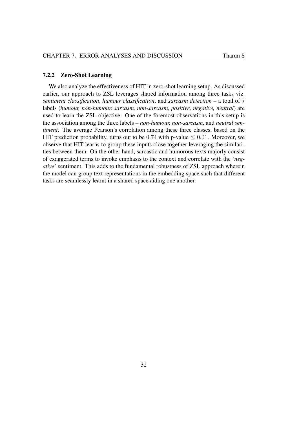#### <span id="page-41-0"></span>7.2.2 Zero-Shot Learning

We also analyze the effectiveness of HIT in zero-shot learning setup. As discussed earlier, our approach to ZSL leverages shared information among three tasks viz. *sentiment classification*, *humour classification*, and *sarcasm detection* – a total of 7 labels (*humour, non-humour, sarcasm, non-sarcasm, positive, negative, neutral*) are used to learn the ZSL objective. One of the foremost observations in this setup is the association among the three labels – *non-humour, non-sarcasm*, and *neutral sentiment*. The average Pearson's correlation among these three classes, based on the HIT prediction probability, turns out to be  $0.74$  with p-value  $\leq 0.01$ . Moreover, we observe that HIT learns to group these inputs close together leveraging the similarities between them. On the other hand, sarcastic and humorous texts majorly consist of exaggerated terms to invoke emphasis to the context and correlate with the '*negative*' sentiment. This adds to the fundamental robustness of ZSL approach wherein the model can group text representations in the embedding space such that different tasks are seamlessly learnt in a shared space aiding one another.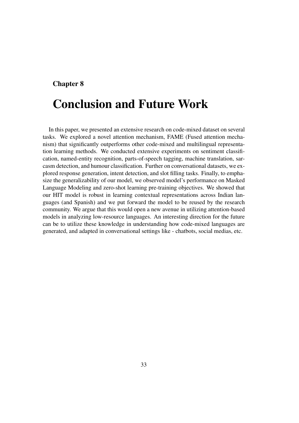### <span id="page-42-0"></span>Chapter 8

# Conclusion and Future Work

In this paper, we presented an extensive research on code-mixed dataset on several tasks. We explored a novel attention mechanism, FAME (Fused attention mechanism) that significantly outperforms other code-mixed and multilingual representation learning methods. We conducted extensive experiments on sentiment classification, named-entity recognition, parts-of-speech tagging, machine translation, sarcasm detection, and humour classification. Further on conversational datasets, we explored response generation, intent detection, and slot filling tasks. Finally, to emphasize the generalizability of our model, we observed model's performance on Masked Language Modeling and zero-shot learning pre-training objectives. We showed that our HIT model is robust in learning contextual representations across Indian languages (and Spanish) and we put forward the model to be reused by the research community. We argue that this would open a new avenue in utilizing attention-based models in analyzing low-resource languages. An interesting direction for the future can be to utilize these knowledge in understanding how code-mixed languages are generated, and adapted in conversational settings like - chatbots, social medias, etc.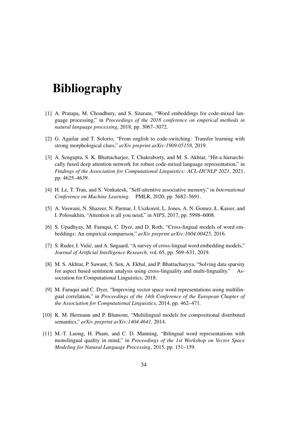# Bibliography

- <span id="page-43-0"></span>[1] A. Pratapa, M. Choudhury, and S. Sitaram, "Word embeddings for code-mixed language processing," in *Proceedings of the 2018 conference on empirical methods in natural language processing*, 2018, pp. 3067–3072.
- <span id="page-43-1"></span>[2] G. Aguilar and T. Solorio, "From english to code-switching: Transfer learning with strong morphological clues," *arXiv preprint arXiv:1909.05158*, 2019.
- <span id="page-43-2"></span>[3] A. Sengupta, S. K. Bhattacharjee, T. Chakraborty, and M. S. Akhtar, "Hit-a hierarchically fused deep attention network for robust code-mixed language representation," in *Findings of the Association for Computational Linguistics: ACL-IJCNLP 2021*, 2021, pp. 4625–4639.
- <span id="page-43-3"></span>[4] H. Le, T. Tran, and S. Venkatesh, "Self-attentive associative memory," in *International Conference on Machine Learning*. PMLR, 2020, pp. 5682–5691.
- <span id="page-43-4"></span>[5] A. Vaswani, N. Shazeer, N. Parmar, J. Uszkoreit, L. Jones, A. N. Gomez, Ł. Kaiser, and I. Polosukhin, "Attention is all you need," in *NIPS*, 2017, pp. 5998–6008.
- <span id="page-43-5"></span>[6] S. Upadhyay, M. Faruqui, C. Dyer, and D. Roth, "Cross-lingual models of word embeddings: An empirical comparison," *arXiv preprint arXiv:1604.00425*, 2016.
- <span id="page-43-6"></span>[7] S. Ruder, I. Vulic, and A. Søgaard, "A survey of cross-lingual word embedding models," ´ *Journal of Artificial Intelligence Research*, vol. 65, pp. 569–631, 2019.
- <span id="page-43-7"></span>[8] M. S. Akhtar, P. Sawant, S. Sen, A. Ekbal, and P. Bhattacharyya, "Solving data sparsity for aspect based sentiment analysis using cross-linguality and multi-linguality." Association for Computational Linguistics, 2018.
- <span id="page-43-8"></span>[9] M. Faruqui and C. Dyer, "Improving vector space word representations using multilingual correlation," in *Proceedings of the 14th Conference of the European Chapter of the Association for Computational Linguistics*, 2014, pp. 462–471.
- <span id="page-43-9"></span>[10] K. M. Hermann and P. Blunsom, "Multilingual models for compositional distributed semantics," *arXiv preprint arXiv:1404.4641*, 2014.
- <span id="page-43-10"></span>[11] M.-T. Luong, H. Pham, and C. D. Manning, "Bilingual word representations with monolingual quality in mind," in *Proceedings of the 1st Workshop on Vector Space Modeling for Natural Language Processing*, 2015, pp. 151–159.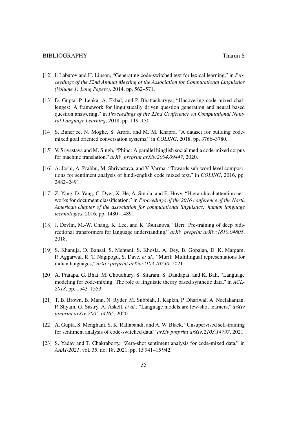- <span id="page-44-0"></span>[12] I. Labutov and H. Lipson, "Generating code-switched text for lexical learning," in *Proceedings of the 52nd Annual Meeting of the Association for Computational Linguistics (Volume 1: Long Papers)*, 2014, pp. 562–571.
- <span id="page-44-1"></span>[13] D. Gupta, P. Lenka, A. Ekbal, and P. Bhattacharyya, "Uncovering code-mixed challenges: A framework for linguistically driven question generation and neural based question answering," in *Proceedings of the 22nd Conference on Computational Natural Language Learning*, 2018, pp. 119–130.
- <span id="page-44-2"></span>[14] S. Banerjee, N. Moghe, S. Arora, and M. M. Khapra, "A dataset for building codemixed goal oriented conversation systems," in *COLING*, 2018, pp. 3766–3780.
- <span id="page-44-3"></span>[15] V. Srivastava and M. Singh, "Phinc: A parallel hinglish social media code-mixed corpus for machine translation," *arXiv preprint arXiv:2004.09447*, 2020.
- <span id="page-44-4"></span>[16] A. Joshi, A. Prabhu, M. Shrivastava, and V. Varma, "Towards sub-word level compositions for sentiment analysis of hindi-english code mixed text," in *COLING*, 2016, pp. 2482–2491.
- <span id="page-44-5"></span>[17] Z. Yang, D. Yang, C. Dyer, X. He, A. Smola, and E. Hovy, "Hierarchical attention networks for document classification," in *Proceedings of the 2016 conference of the North American chapter of the association for computational linguistics: human language technologies*, 2016, pp. 1480–1489.
- <span id="page-44-6"></span>[18] J. Devlin, M.-W. Chang, K. Lee, and K. Toutanova, "Bert: Pre-training of deep bidirectional transformers for language understanding," *arXiv preprint arXiv:1810.04805*, 2018.
- <span id="page-44-7"></span>[19] S. Khanuja, D. Bansal, S. Mehtani, S. Khosla, A. Dey, B. Gopalan, D. K. Margam, P. Aggarwal, R. T. Nagipogu, S. Dave, *et al.*, "Muril: Multilingual representations for indian languages," *arXiv preprint arXiv:2103.10730*, 2021.
- <span id="page-44-8"></span>[20] A. Pratapa, G. Bhat, M. Choudhury, S. Sitaram, S. Dandapat, and K. Bali, "Language modeling for code-mixing: The role of linguistic theory based synthetic data," in *ACL-2018*, pp. 1543–1553.
- <span id="page-44-9"></span>[21] T. B. Brown, B. Mann, N. Ryder, M. Subbiah, J. Kaplan, P. Dhariwal, A. Neelakantan, P. Shyam, G. Sastry, A. Askell, *et al.*, "Language models are few-shot learners," *arXiv preprint arXiv:2005.14165*, 2020.
- <span id="page-44-10"></span>[22] A. Gupta, S. Menghani, S. K. Rallabandi, and A. W. Black, "Unsupervised self-training for sentiment analysis of code-switched data," *arXiv preprint arXiv:2103.14797*, 2021.
- <span id="page-44-11"></span>[23] S. Yadav and T. Chakraborty, "Zera-shot sentiment analysis for code-mixed data," in *AAAI-2021*, vol. 35, no. 18, 2021, pp. 15 941–15 942.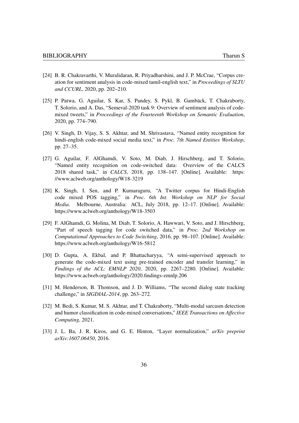- <span id="page-45-0"></span>[24] B. R. Chakravarthi, V. Muralidaran, R. Priyadharshini, and J. P. McCrae, "Corpus creation for sentiment analysis in code-mixed tamil-english text," in *Proceedings of SLTU and CCURL*, 2020, pp. 202–210.
- <span id="page-45-1"></span>[25] P. Patwa, G. Aguilar, S. Kar, S. Pandey, S. Pykl, B. Gambäck, T. Chakraborty, T. Solorio, and A. Das, "Semeval-2020 task 9: Overview of sentiment analysis of codemixed tweets," in *Proceedings of the Fourteenth Workshop on Semantic Evaluation*, 2020, pp. 774–790.
- <span id="page-45-2"></span>[26] V. Singh, D. Vijay, S. S. Akhtar, and M. Shrivastava, "Named entity recognition for hindi-english code-mixed social media text," in *Proc. 7th Named Entities Workshop*, pp. 27–35.
- <span id="page-45-3"></span>[27] G. Aguilar, F. AlGhamdi, V. Soto, M. Diab, J. Hirschberg, and T. Solorio, "Named entity recognition on code-switched data: Overview of the CALCS 2018 shared task," in *CALCS*, 2018, pp. 138–147. [Online]. Available: [https:](https://www.aclweb.org/anthology/W18-3219) [//www.aclweb.org/anthology/W18-3219](https://www.aclweb.org/anthology/W18-3219)
- <span id="page-45-4"></span>[28] K. Singh, I. Sen, and P. Kumaraguru, "A Twitter corpus for Hindi-English code mixed POS tagging," in *Proc. 6th Int. Workshop on NLP for Social Media*. Melbourne, Australia: ACL, July 2018, pp. 12–17. [Online]. Available: <https://www.aclweb.org/anthology/W18-3503>
- <span id="page-45-5"></span>[29] F. AlGhamdi, G. Molina, M. Diab, T. Solorio, A. Hawwari, V. Soto, and J. Hirschberg, "Part of speech tagging for code switched data," in *Proc. 2nd Workshop on Computational Approaches to Code Switching*, 2016, pp. 98–107. [Online]. Available: <https://www.aclweb.org/anthology/W16-5812>
- <span id="page-45-6"></span>[30] D. Gupta, A. Ekbal, and P. Bhattacharyya, "A semi-supervised approach to generate the code-mixed text using pre-trained encoder and transfer learning," in *Findings of the ACL: EMNLP 2020*, 2020, pp. 2267–2280. [Online]. Available: <https://www.aclweb.org/anthology/2020.findings-emnlp.206>
- <span id="page-45-7"></span>[31] M. Henderson, B. Thomson, and J. D. Williams, "The second dialog state tracking challenge," in *SIGDIAL-2014*, pp. 263–272.
- <span id="page-45-8"></span>[32] M. Bedi, S. Kumar, M. S. Akhtar, and T. Chakraborty, "Multi-modal sarcasm detection and humor classification in code-mixed conversations," *IEEE Transactions on Affective Computing*, 2021.
- <span id="page-45-9"></span>[33] J. L. Ba, J. R. Kiros, and G. E. Hinton, "Layer normalization," *arXiv preprint arXiv:1607.06450*, 2016.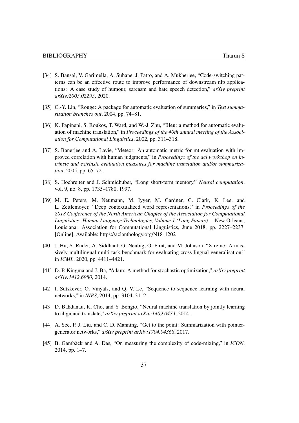- <span id="page-46-0"></span>[34] S. Bansal, V. Garimella, A. Suhane, J. Patro, and A. Mukherjee, "Code-switching patterns can be an effective route to improve performance of downstream nlp applications: A case study of humour, sarcasm and hate speech detection," *arXiv preprint arXiv:2005.02295*, 2020.
- <span id="page-46-1"></span>[35] C.-Y. Lin, "Rouge: A package for automatic evaluation of summaries," in *Text summarization branches out*, 2004, pp. 74–81.
- <span id="page-46-2"></span>[36] K. Papineni, S. Roukos, T. Ward, and W.-J. Zhu, "Bleu: a method for automatic evaluation of machine translation," in *Proceedings of the 40th annual meeting of the Association for Computational Linguistics*, 2002, pp. 311–318.
- <span id="page-46-3"></span>[37] S. Banerjee and A. Lavie, "Meteor: An automatic metric for mt evaluation with improved correlation with human judgments," in *Proceedings of the acl workshop on intrinsic and extrinsic evaluation measures for machine translation and/or summarization*, 2005, pp. 65–72.
- <span id="page-46-4"></span>[38] S. Hochreiter and J. Schmidhuber, "Long short-term memory," *Neural computation*, vol. 9, no. 8, pp. 1735–1780, 1997.
- <span id="page-46-5"></span>[39] M. E. Peters, M. Neumann, M. Iyyer, M. Gardner, C. Clark, K. Lee, and L. Zettlemoyer, "Deep contextualized word representations," in *Proceedings of the 2018 Conference of the North American Chapter of the Association for Computational Linguistics: Human Language Technologies, Volume 1 (Long Papers)*. New Orleans, Louisiana: Association for Computational Linguistics, June 2018, pp. 2227–2237. [Online]. Available:<https://aclanthology.org/N18-1202>
- <span id="page-46-6"></span>[40] J. Hu, S. Ruder, A. Siddhant, G. Neubig, O. Firat, and M. Johnson, "Xtreme: A massively multilingual multi-task benchmark for evaluating cross-lingual generalisation," in *ICML*, 2020, pp. 4411–4421.
- <span id="page-46-7"></span>[41] D. P. Kingma and J. Ba, "Adam: A method for stochastic optimization," *arXiv preprint arXiv:1412.6980*, 2014.
- <span id="page-46-8"></span>[42] I. Sutskever, O. Vinyals, and Q. V. Le, "Sequence to sequence learning with neural networks," in *NIPS*, 2014, pp. 3104–3112.
- <span id="page-46-9"></span>[43] D. Bahdanau, K. Cho, and Y. Bengio, "Neural machine translation by jointly learning to align and translate," *arXiv preprint arXiv:1409.0473*, 2014.
- <span id="page-46-10"></span>[44] A. See, P. J. Liu, and C. D. Manning, "Get to the point: Summarization with pointergenerator networks," *arXiv preprint arXiv:1704.04368*, 2017.
- <span id="page-46-11"></span>[45] B. Gamback and A. Das, "On measuring the complexity of code-mixing," in *ICON*, 2014, pp. 1–7.